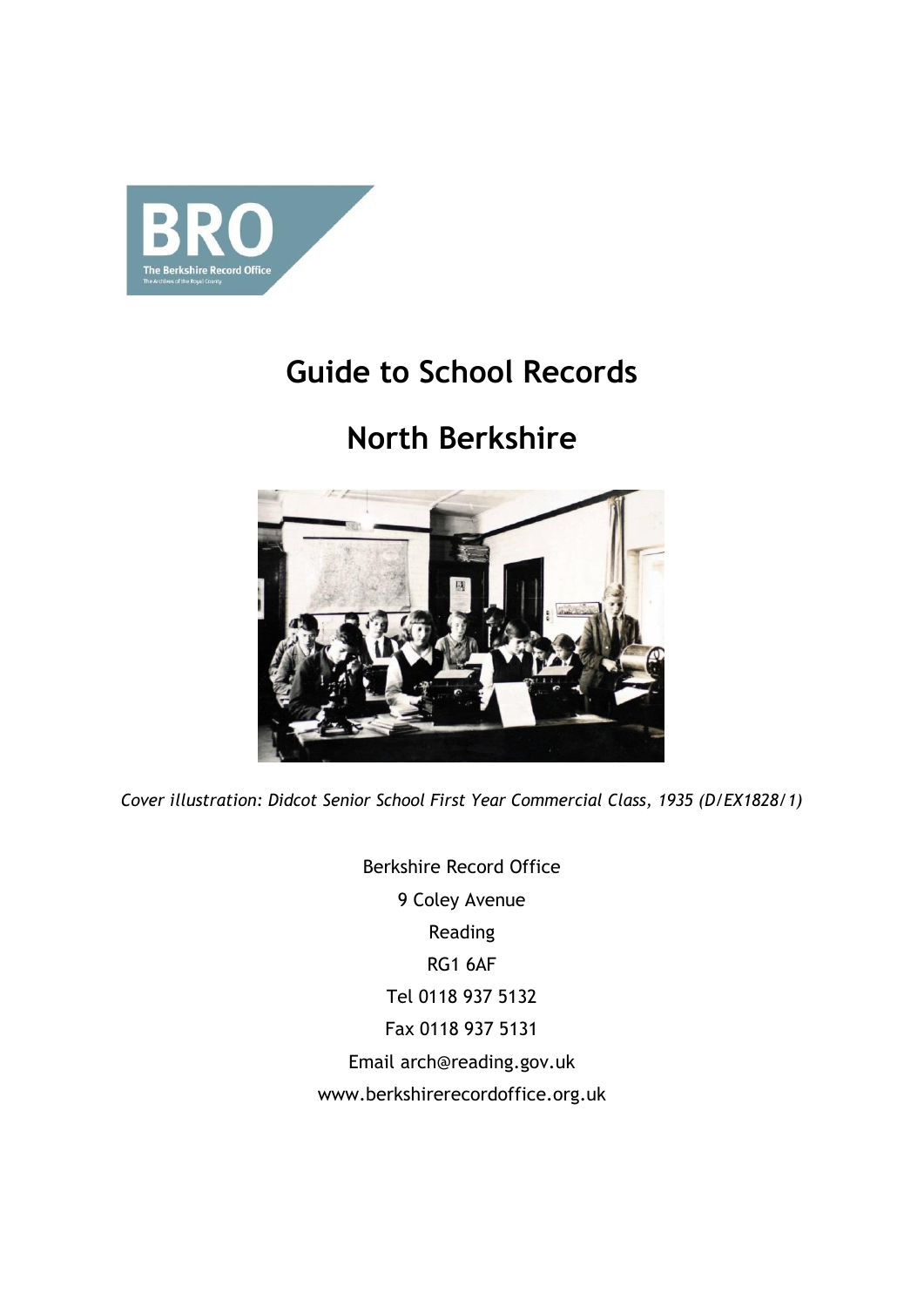

# **Guide to School Records**

## **North Berkshire**



*Cover illustration: Didcot Senior School First Year Commercial Class, 1935 (D/EX1828/1)*

Berkshire Record Office 9 Coley Avenue Reading RG1 6AF Tel 0118 937 5132 Fax 0118 937 5131 Email arch@reading.gov.uk www.berkshirerecordoffice.org.uk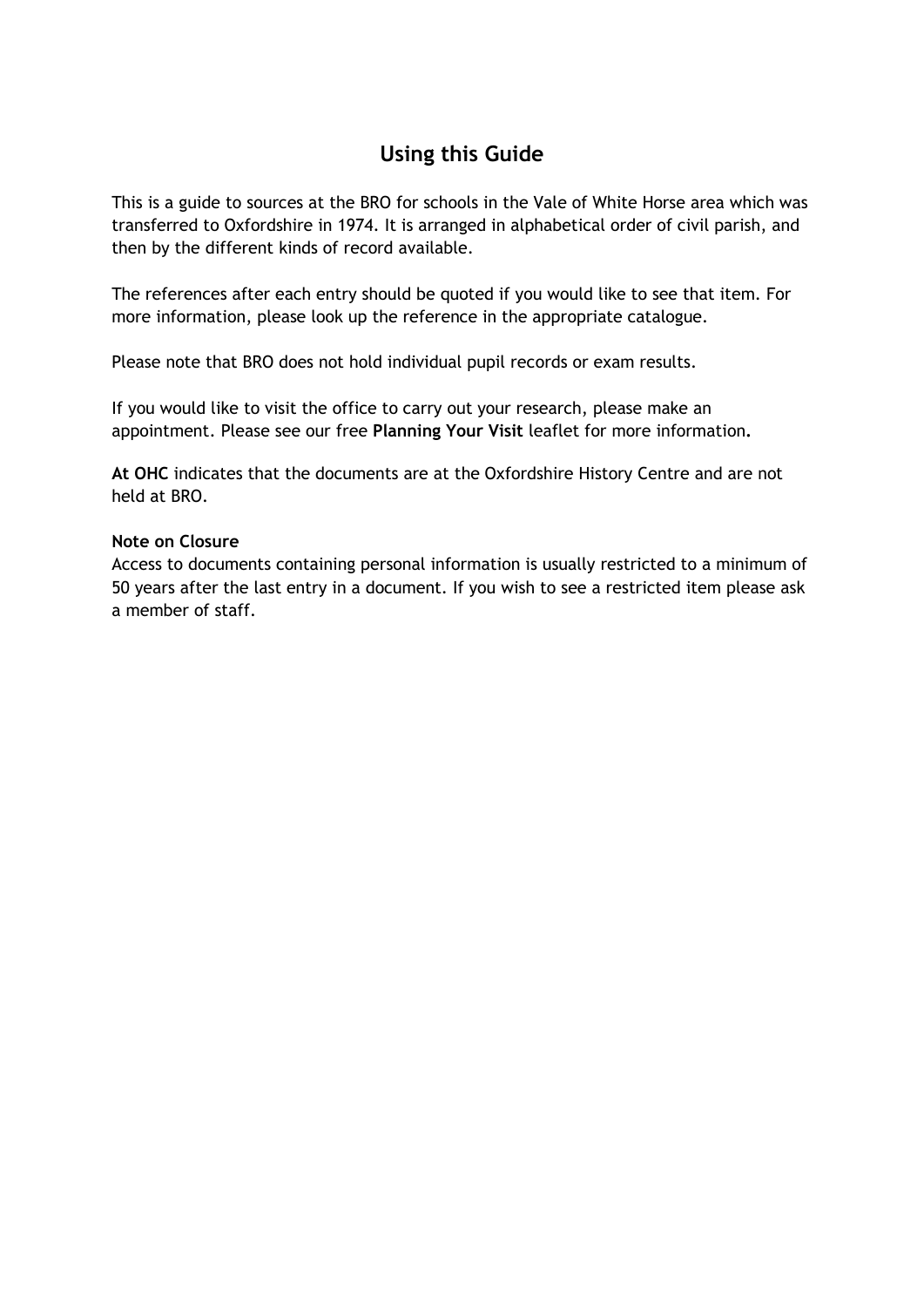### **Using this Guide**

This is a guide to sources at the BRO for schools in the Vale of White Horse area which was transferred to Oxfordshire in 1974. It is arranged in alphabetical order of civil parish, and then by the different kinds of record available.

The references after each entry should be quoted if you would like to see that item. For more information, please look up the reference in the appropriate catalogue.

Please note that BRO does not hold individual pupil records or exam results.

If you would like to visit the office to carry out your research, please make an appointment. Please see our free **Planning Your Visit** leaflet for more information**.**

**At OHC** indicates that the documents are at the Oxfordshire History Centre and are not held at BRO.

#### **Note on Closure**

Access to documents containing personal information is usually restricted to a minimum of 50 years after the last entry in a document. If you wish to see a restricted item please ask a member of staff.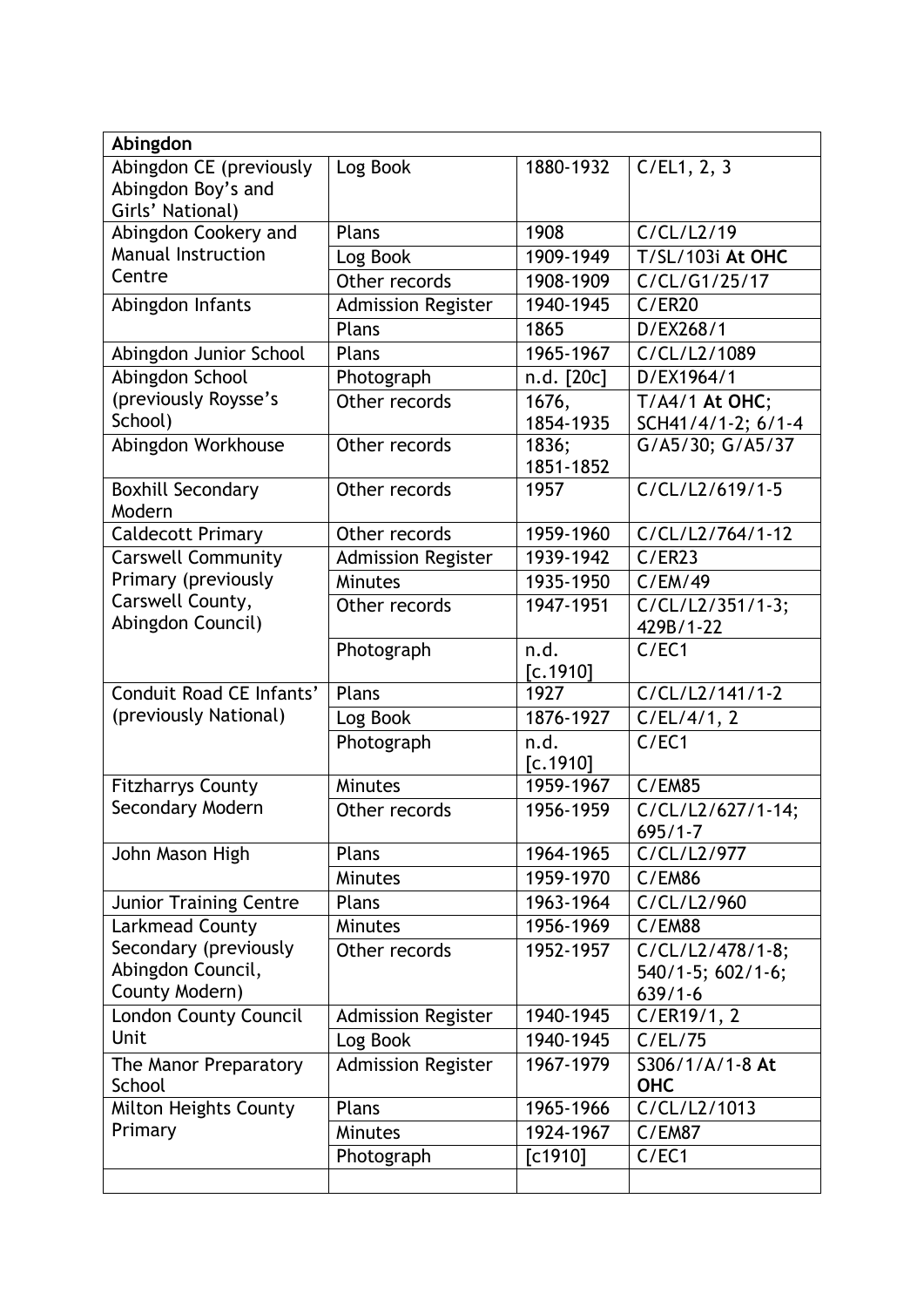| Abingdon                              |                           |                  |                    |
|---------------------------------------|---------------------------|------------------|--------------------|
| Abingdon CE (previously               | Log Book                  | 1880-1932        | C/EL1, 2, 3        |
| Abingdon Boy's and                    |                           |                  |                    |
| Girls' National)                      |                           |                  |                    |
| Abingdon Cookery and                  | Plans                     | 1908             | C/CL/L2/19         |
| <b>Manual Instruction</b>             | Log Book                  | 1909-1949        | T/SL/103i At OHC   |
| Centre                                | Other records             | 1908-1909        | C/CL/G1/25/17      |
| Abingdon Infants                      | <b>Admission Register</b> | 1940-1945        | C/ER20             |
|                                       | Plans                     | 1865             | D/EX268/1          |
| Abingdon Junior School                | Plans                     | 1965-1967        | C/CL/L2/1089       |
| Abingdon School                       | Photograph                | n.d. [20c]       | D/EX1964/1         |
| (previously Roysse's                  | Other records             | 1676,            | T/A4/1 At OHC;     |
| School)                               |                           | 1854-1935        | SCH41/4/1-2; 6/1-4 |
| Abingdon Workhouse                    | Other records             | 1836;            | G/A5/30; G/A5/37   |
|                                       |                           | 1851-1852        |                    |
| <b>Boxhill Secondary</b>              | Other records             | 1957             | C/CL/L2/619/1-5    |
| Modern                                |                           |                  |                    |
| <b>Caldecott Primary</b>              | Other records             | 1959-1960        | C/CL/L2/764/1-12   |
| Carswell Community                    | <b>Admission Register</b> | 1939-1942        | C/ER23             |
| Primary (previously                   | Minutes                   | 1935-1950        | C/EM/49            |
| Carswell County,<br>Abingdon Council) | Other records             | 1947-1951        | C/CL/L2/351/1-3;   |
|                                       |                           |                  | 429B/1-22          |
|                                       | Photograph                | n.d.             | C/EC1              |
| Conduit Road CE Infants'              | Plans                     | [c.1910]<br>1927 | C/CL/L2/141/1-2    |
| (previously National)                 | Log Book                  | 1876-1927        | C/EL/4/1, 2        |
|                                       | Photograph                | n.d.             | C/EC1              |
|                                       |                           | [c.1910]         |                    |
| <b>Fitzharrys County</b>              | <b>Minutes</b>            | 1959-1967        | C/EM85             |
| Secondary Modern                      | Other records             | 1956-1959        | C/CL/L2/627/1-14;  |
|                                       |                           |                  | $695/1 - 7$        |
| John Mason High                       | Plans                     | 1964-1965        | C/CL/L2/977        |
|                                       | <b>Minutes</b>            | 1959-1970        | <b>C/EM86</b>      |
| <b>Junior Training Centre</b>         | Plans                     | 1963-1964        | C/CL/L2/960        |
| Larkmead County                       | <b>Minutes</b>            | 1956-1969        | C/EM88             |
| Secondary (previously                 | Other records             | 1952-1957        | C/CL/L2/478/1-8;   |
| Abingdon Council,                     |                           |                  | 540/1-5; 602/1-6;  |
| County Modern)                        |                           |                  | $639/1 - 6$        |
| London County Council                 | <b>Admission Register</b> | 1940-1945        | C/ER19/1, 2        |
| Unit                                  | Log Book                  | 1940-1945        | C/EL/75            |
| The Manor Preparatory                 | <b>Admission Register</b> | 1967-1979        | S306/1/A/1-8 At    |
| School                                |                           |                  | <b>OHC</b>         |
| <b>Milton Heights County</b>          | Plans                     | 1965-1966        | C/CL/L2/1013       |
| Primary                               | <b>Minutes</b>            | 1924-1967        | C/EM87             |
|                                       | Photograph                | $[c1910]$        | C/EC1              |
|                                       |                           |                  |                    |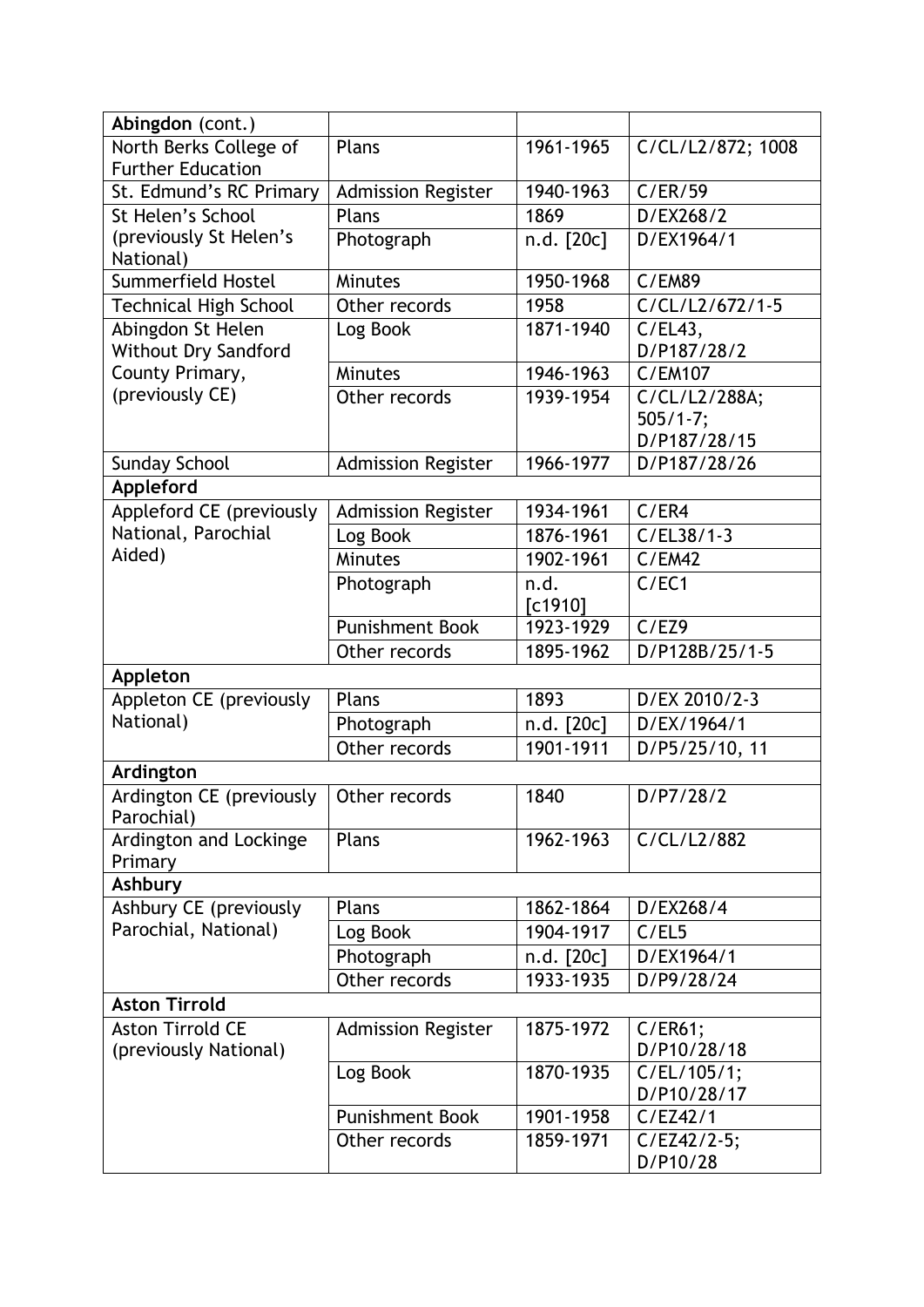| Abingdon (cont.)                       |                           |            |                   |
|----------------------------------------|---------------------------|------------|-------------------|
| North Berks College of                 | Plans                     | 1961-1965  | C/CL/L2/872; 1008 |
| <b>Further Education</b>               |                           |            |                   |
| St. Edmund's RC Primary                | Admission Register        | 1940-1963  | C/ER/59           |
| St Helen's School                      | Plans                     | 1869       | D/EX268/2         |
| (previously St Helen's<br>National)    | Photograph                | n.d. [20c] | D/EX1964/1        |
| Summerfield Hostel                     | <b>Minutes</b>            | 1950-1968  | C/EM89            |
| <b>Technical High School</b>           | Other records             | 1958       | C/CL/L2/672/1-5   |
| Abingdon St Helen                      | Log Book                  | 1871-1940  | C/EL43,           |
| <b>Without Dry Sandford</b>            |                           |            | D/P187/28/2       |
| County Primary,                        | Minutes                   | 1946-1963  | <b>C/EM107</b>    |
| (previously CE)                        | Other records             | 1939-1954  | C/CL/L2/288A;     |
|                                        |                           |            | $505/1 - 7;$      |
|                                        |                           |            | D/P187/28/15      |
| <b>Sunday School</b>                   | <b>Admission Register</b> | 1966-1977  | D/P187/28/26      |
| Appleford                              |                           |            |                   |
| Appleford CE (previously               | <b>Admission Register</b> | 1934-1961  | C/ER4             |
| National, Parochial                    | Log Book                  | 1876-1961  | $C/EL38/1-3$      |
| Aided)                                 | <b>Minutes</b>            | 1902-1961  | C/EM42            |
|                                        | Photograph                | n.d.       | C/EC1             |
|                                        |                           | $[c1910]$  |                   |
|                                        | <b>Punishment Book</b>    | 1923-1929  | C/EZ9             |
|                                        | Other records             | 1895-1962  | D/P128B/25/1-5    |
| Appleton                               |                           |            |                   |
| Appleton CE (previously                | Plans                     | 1893       | D/EX 2010/2-3     |
| National)                              | Photograph                | n.d. [20c] | D/EX/1964/1       |
|                                        | Other records             | 1901-1911  | D/P5/25/10, 11    |
| Ardington                              |                           |            |                   |
| Ardington CE (previously<br>Parochial) | Other records             | 1840       | D/P7/28/2         |
| Ardington and Lockinge<br>Primary      | Plans                     | 1962-1963  | C/CL/L2/882       |
| Ashbury                                |                           |            |                   |
| Ashbury CE (previously                 | Plans                     | 1862-1864  | D/EX268/4         |
| Parochial, National)                   | Log Book                  | 1904-1917  | C/EL5             |
|                                        | Photograph                | n.d. [20c] | D/EX1964/1        |
|                                        | Other records             | 1933-1935  | D/P9/28/24        |
| <b>Aston Tirrold</b>                   |                           |            |                   |
| <b>Aston Tirrold CE</b>                | <b>Admission Register</b> | 1875-1972  | C/ER61;           |
| (previously National)                  |                           |            | D/P10/28/18       |
|                                        | Log Book                  | 1870-1935  | C/EL/105/1;       |
|                                        |                           |            | D/P10/28/17       |
|                                        | <b>Punishment Book</b>    | 1901-1958  | C/EZ42/1          |
|                                        | Other records             | 1859-1971  | $C/EZ42/2-5;$     |
|                                        |                           |            | D/P10/28          |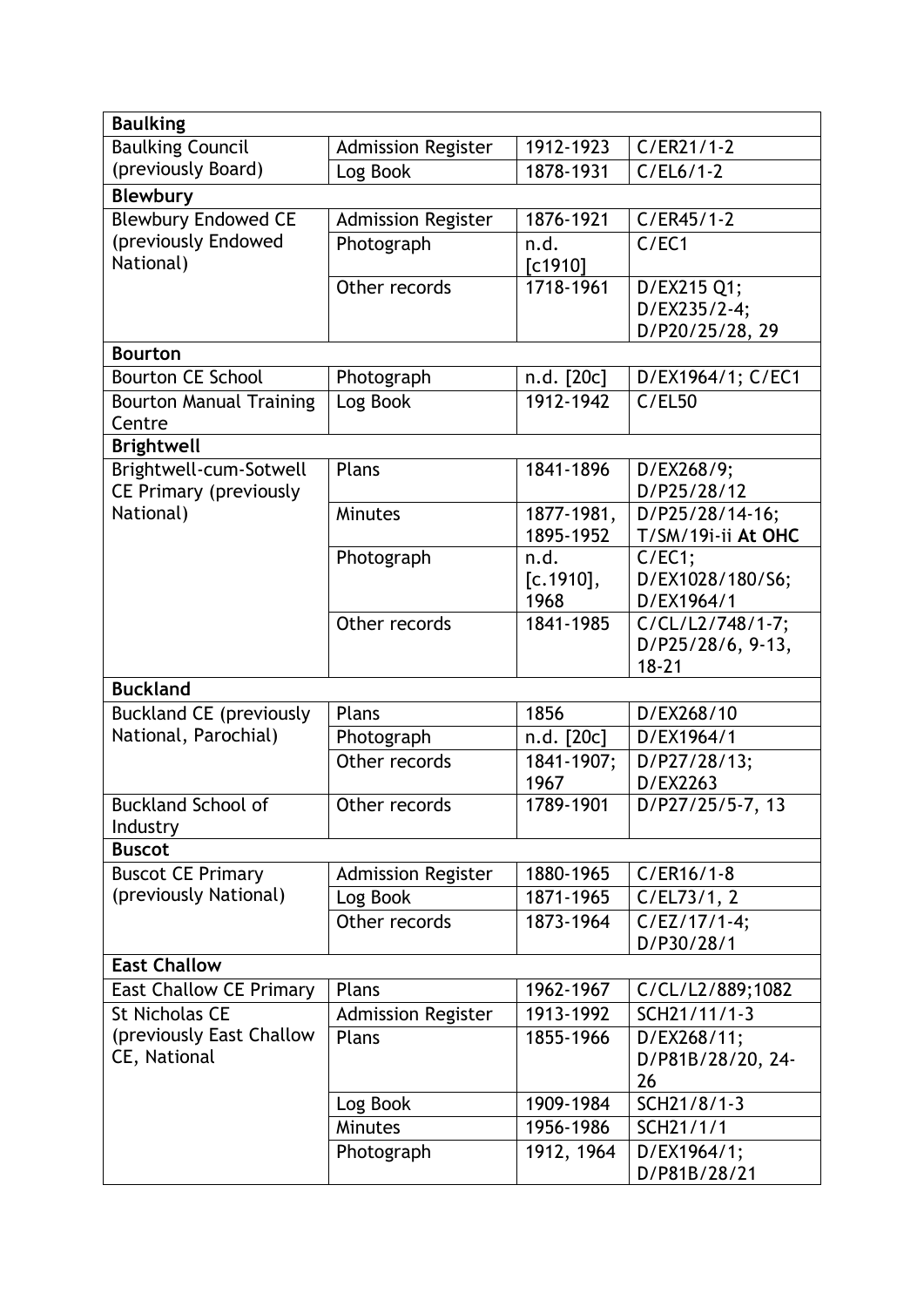| <b>Baulking</b>                                         |                           |                           |                                                    |
|---------------------------------------------------------|---------------------------|---------------------------|----------------------------------------------------|
| <b>Baulking Council</b>                                 | <b>Admission Register</b> | 1912-1923                 | $C/ER21/1-2$                                       |
| (previously Board)                                      | Log Book                  | 1878-1931                 | $C/EL6/1-2$                                        |
| <b>Blewbury</b>                                         |                           |                           |                                                    |
| <b>Blewbury Endowed CE</b>                              | <b>Admission Register</b> | 1876-1921                 | $C/ER45/1-2$                                       |
| (previously Endowed<br>National)                        | Photograph                | n.d.<br>$[c1910]$         | C/EC1                                              |
|                                                         | Other records             | 1718-1961                 | D/EX215 Q1;<br>D/EX235/2-4;<br>D/P20/25/28, 29     |
| <b>Bourton</b>                                          |                           |                           |                                                    |
| <b>Bourton CE School</b>                                | Photograph                | n.d. [20c]                | D/EX1964/1; C/EC1                                  |
| <b>Bourton Manual Training</b><br>Centre                | Log Book                  | 1912-1942                 | C/EL50                                             |
| <b>Brightwell</b>                                       |                           |                           |                                                    |
| Brightwell-cum-Sotwell<br><b>CE Primary (previously</b> | Plans                     | 1841-1896                 | D/EX268/9;<br>D/P25/28/12                          |
| National)                                               | <b>Minutes</b>            | 1877-1981,<br>1895-1952   | D/P25/28/14-16;<br>T/SM/19i-ii At OHC              |
|                                                         | Photograph                | n.d.<br>[c.1910],<br>1968 | C/EC1;<br>D/EX1028/180/S6;<br>D/EX1964/1           |
|                                                         | Other records             | 1841-1985                 | C/CL/L2/748/1-7;<br>D/P25/28/6, 9-13,<br>$18 - 21$ |
| <b>Buckland</b>                                         |                           |                           |                                                    |
| <b>Buckland CE (previously</b>                          | Plans                     | 1856                      | D/EX268/10                                         |
| National, Parochial)                                    | Photograph                | n.d. [20c]                | D/EX1964/1                                         |
|                                                         | Other records             | 1841-1907;<br>1967        | D/P27/28/13;<br>D/EX2263                           |
| <b>Buckland School of</b><br>Industry                   | Other records             | 1789-1901                 | D/P27/25/5-7, 13                                   |
| <b>Buscot</b>                                           |                           |                           |                                                    |
| <b>Buscot CE Primary</b>                                | <b>Admission Register</b> | 1880-1965                 | $\overline{C}/ER16/1-8$                            |
| (previously National)                                   | Log Book                  | 1871-1965                 | C/EL73/1, 2                                        |
|                                                         | Other records             | 1873-1964                 | C/EZ/17/1-4;<br>D/P30/28/1                         |
| <b>East Challow</b>                                     |                           |                           |                                                    |
| <b>East Challow CE Primary</b>                          | Plans                     | 1962-1967                 | C/CL/L2/889;1082                                   |
| <b>St Nicholas CE</b>                                   | <b>Admission Register</b> | 1913-1992                 | SCH21/11/1-3                                       |
| (previously East Challow<br>CE, National                | Plans                     | 1855-1966                 | D/EX268/11;<br>D/P81B/28/20, 24-<br>26             |
|                                                         | Log Book                  | 1909-1984                 | SCH21/8/1-3                                        |
|                                                         | <b>Minutes</b>            | 1956-1986                 | SCH21/1/1                                          |
|                                                         | Photograph                | 1912, 1964                | D/EX1964/1;<br>D/P81B/28/21                        |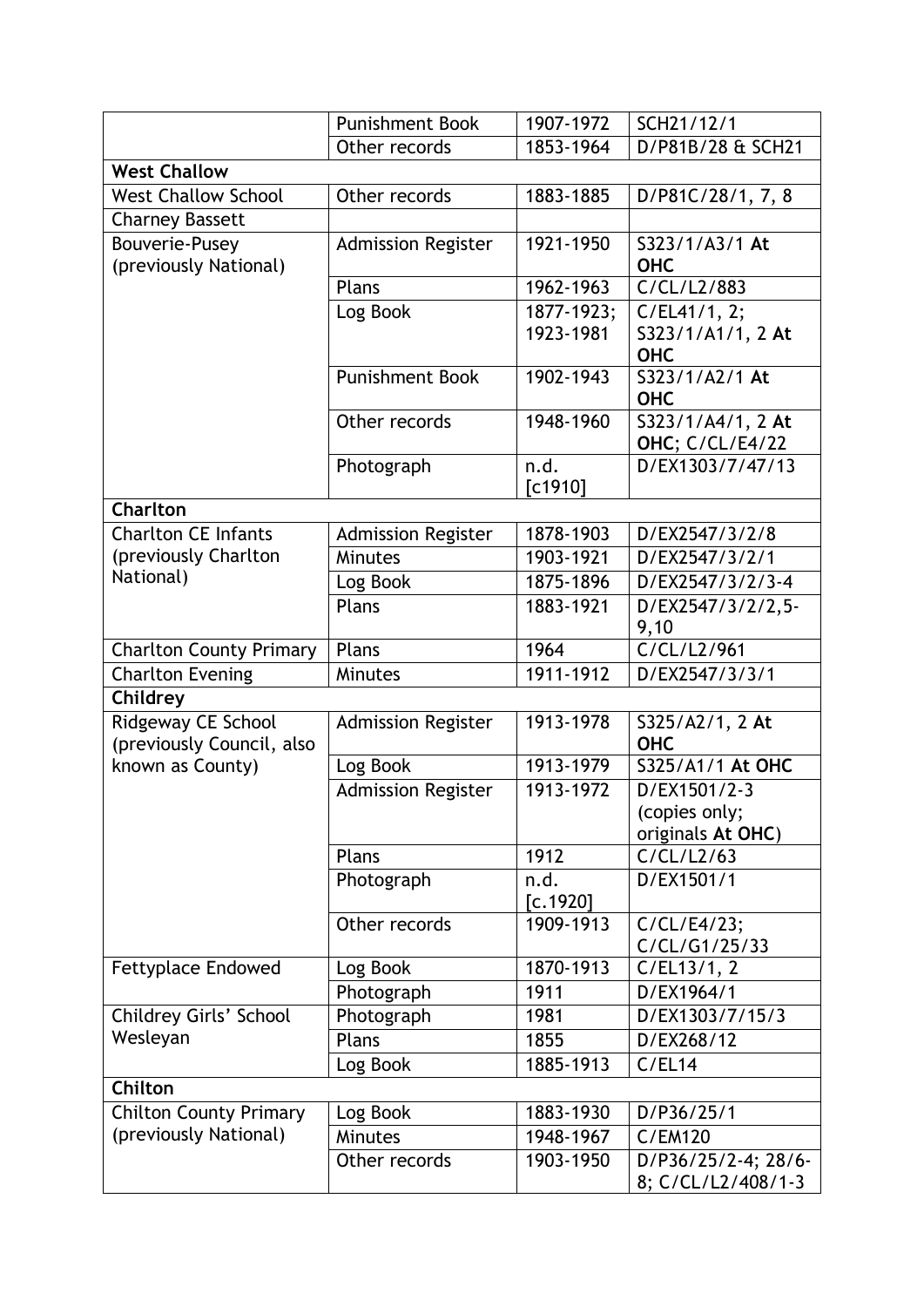|                                                 | <b>Punishment Book</b>    | 1907-1972               | SCH21/12/1                                         |
|-------------------------------------------------|---------------------------|-------------------------|----------------------------------------------------|
|                                                 | Other records             | 1853-1964               | D/P81B/28 & SCH21                                  |
| <b>West Challow</b>                             |                           |                         |                                                    |
| <b>West Challow School</b>                      | Other records             | 1883-1885               | D/P81C/28/1, 7, 8                                  |
| <b>Charney Bassett</b>                          |                           |                         |                                                    |
| Bouverie-Pusey<br>(previously National)         | <b>Admission Register</b> | 1921-1950               | S323/1/A3/1 At<br><b>OHC</b>                       |
|                                                 | Plans                     | 1962-1963               | C/CL/L2/883                                        |
|                                                 | Log Book                  | 1877-1923;<br>1923-1981 | C/EL41/1, 2;<br>S323/1/A1/1, 2 At<br><b>OHC</b>    |
|                                                 | <b>Punishment Book</b>    | 1902-1943               | S323/1/A2/1 At<br><b>OHC</b>                       |
|                                                 | Other records             | 1948-1960               | S323/1/A4/1, 2 At<br>OHC; C/CL/E4/22               |
|                                                 | Photograph                | n.d.<br>[C1910]         | D/EX1303/7/47/13                                   |
| Charlton                                        |                           |                         |                                                    |
| <b>Charlton CE Infants</b>                      | <b>Admission Register</b> | 1878-1903               | D/EX2547/3/2/8                                     |
| (previously Charlton                            | <b>Minutes</b>            | 1903-1921               | D/EX2547/3/2/1                                     |
| National)                                       | Log Book                  | 1875-1896               | D/EX2547/3/2/3-4                                   |
|                                                 | Plans                     | 1883-1921               | D/EX2547/3/2/2,5-<br>9,10                          |
| <b>Charlton County Primary</b>                  | Plans                     | 1964                    | C/CL/L2/961                                        |
| <b>Charlton Evening</b>                         | <b>Minutes</b>            | 1911-1912               | D/EX2547/3/3/1                                     |
| Childrey                                        |                           |                         |                                                    |
| Ridgeway CE School<br>(previously Council, also | <b>Admission Register</b> | 1913-1978               | S325/A2/1, 2 At<br><b>OHC</b>                      |
| known as County)                                | Log Book                  | 1913-1979               | S325/A1/1 At OHC                                   |
|                                                 | <b>Admission Register</b> | 1913-1972               | D/EX1501/2-3<br>(copies only;<br>originals At OHC) |
|                                                 | Plans                     | 1912                    | C/CL/L2/63                                         |
|                                                 | Photograph                | n.d.<br>[c.1920]        | D/EX1501/1                                         |
|                                                 | Other records             | 1909-1913               | C/CL/E4/23;<br>C/CL/G1/25/33                       |
| <b>Fettyplace Endowed</b>                       | Log Book                  | 1870-1913               | C/EL13/1, 2                                        |
|                                                 | Photograph                | 1911                    | D/EX1964/1                                         |
| Childrey Girls' School                          | Photograph                | 1981                    | D/EX1303/7/15/3                                    |
| Wesleyan                                        | Plans                     | 1855                    | D/EX268/12                                         |
|                                                 | Log Book                  | 1885-1913               | C/EL14                                             |
| Chilton                                         |                           |                         |                                                    |
| <b>Chilton County Primary</b>                   | Log Book                  | 1883-1930               | $D/P$ 36/25/1                                      |
| (previously National)                           | Minutes                   | 1948-1967               | <b>C/EM120</b>                                     |
|                                                 | Other records             | 1903-1950               | D/P36/25/2-4; 28/6-<br>8; C/CL/L2/408/1-3          |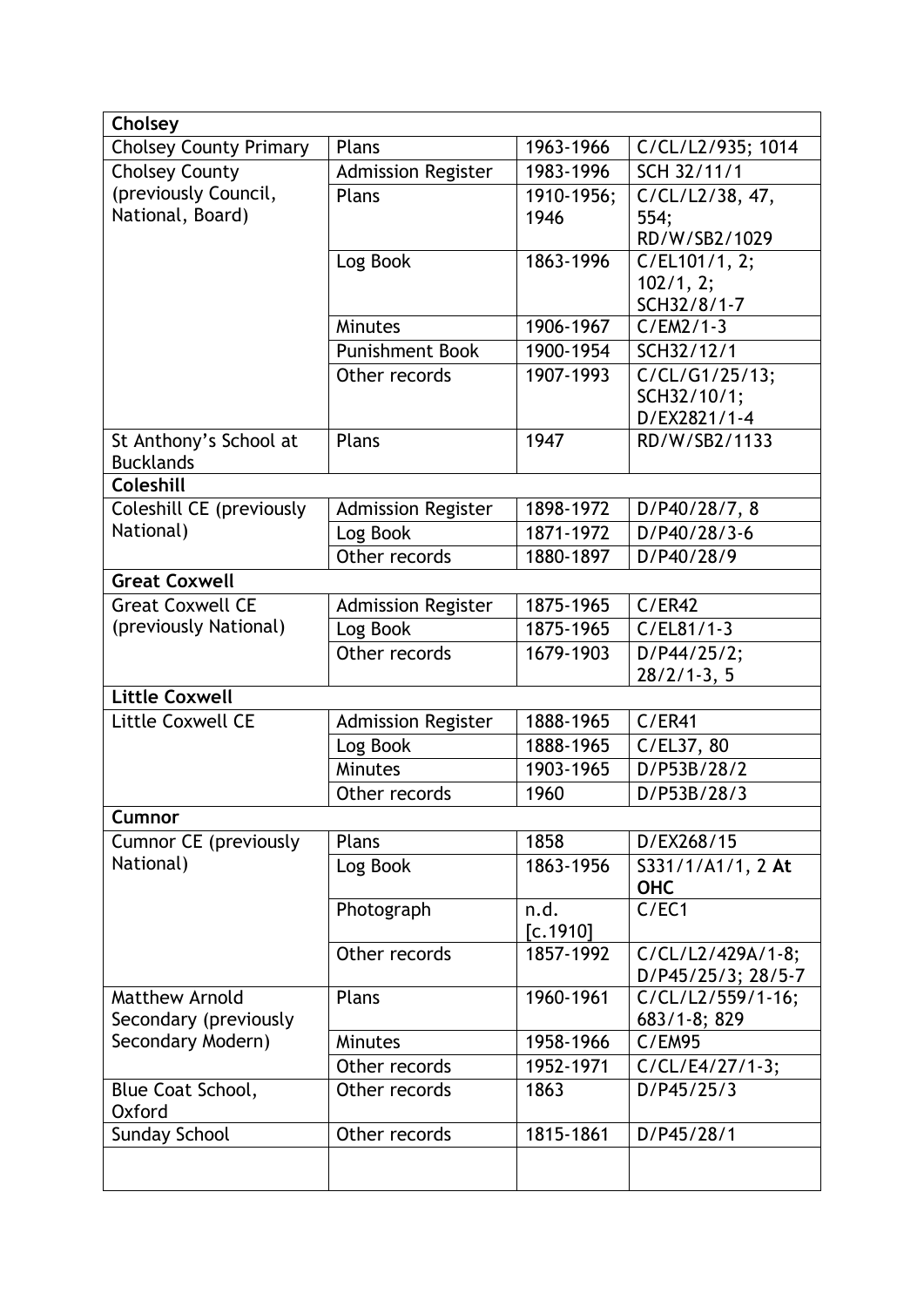| Cholsey                                    |                           |            |                                 |
|--------------------------------------------|---------------------------|------------|---------------------------------|
| <b>Cholsey County Primary</b>              | Plans                     | 1963-1966  | C/CL/L2/935; 1014               |
| <b>Cholsey County</b>                      | <b>Admission Register</b> | 1983-1996  | SCH 32/11/1                     |
| (previously Council,                       | Plans                     | 1910-1956; | C/CL/L2/38, 47,                 |
| National, Board)                           |                           | 1946       | 554:                            |
|                                            |                           |            | RD/W/SB2/1029                   |
|                                            | Log Book                  | 1863-1996  | C/EL101/1, 2;                   |
|                                            |                           |            | 102/1, 2;                       |
|                                            |                           |            | SCH32/8/1-7                     |
|                                            | Minutes                   | 1906-1967  | $C/EM2/1-3$                     |
|                                            | <b>Punishment Book</b>    | 1900-1954  | SCH32/12/1                      |
|                                            | Other records             | 1907-1993  | C/CL/G1/25/13;                  |
|                                            |                           |            | SCH32/10/1;                     |
|                                            |                           |            | D/EX2821/1-4                    |
| St Anthony's School at<br><b>Bucklands</b> | Plans                     | 1947       | RD/W/SB2/1133                   |
| Coleshill                                  |                           |            |                                 |
| Coleshill CE (previously                   | Admission Register        | 1898-1972  | D/P40/28/7, 8                   |
| National)                                  | Log Book                  | 1871-1972  | D/P40/28/3-6                    |
|                                            | Other records             | 1880-1897  | D/P40/28/9                      |
| <b>Great Coxwell</b>                       |                           |            |                                 |
| <b>Great Coxwell CE</b>                    | <b>Admission Register</b> | 1875-1965  | C/ER42                          |
| (previously National)                      | Log Book                  | 1875-1965  | $C/EL81/1-3$                    |
|                                            | Other records             | 1679-1903  | D/P44/25/2;                     |
|                                            |                           |            | $28/2/1-3, 5$                   |
| <b>Little Coxwell</b>                      |                           |            |                                 |
| <b>Little Coxwell CE</b>                   | <b>Admission Register</b> | 1888-1965  | C/ER41                          |
|                                            | Log Book                  | 1888-1965  | C/EL37, 80                      |
|                                            | <b>Minutes</b>            | 1903-1965  | D/P53B/28/2                     |
|                                            | Other records             | 1960       | D/P53B/28/3                     |
| Cumnor                                     |                           |            |                                 |
| <b>Cumnor CE (previously</b>               | Plans                     | 1858       | D/EX268/15                      |
| National)                                  | Log Book                  | 1863-1956  | S331/1/A1/1, 2 At<br><b>OHC</b> |
|                                            | Photograph                | n.d.       | C/EC1                           |
|                                            |                           | [c.1910]   |                                 |
|                                            | Other records             | 1857-1992  | C/CL/L2/429A/1-8;               |
|                                            |                           |            | D/P45/25/3; 28/5-7              |
| <b>Matthew Arnold</b>                      | Plans                     | 1960-1961  | C/CL/L2/559/1-16;               |
| Secondary (previously                      |                           |            | 683/1-8; 829                    |
| Secondary Modern)                          | <b>Minutes</b>            | 1958-1966  | C/EM95                          |
|                                            | Other records             | 1952-1971  | C/CL/E4/27/1-3;                 |
| Blue Coat School,<br><b>Oxford</b>         | Other records             | 1863       | D/P45/25/3                      |
| <b>Sunday School</b>                       | Other records             | 1815-1861  | D/P45/28/1                      |
|                                            |                           |            |                                 |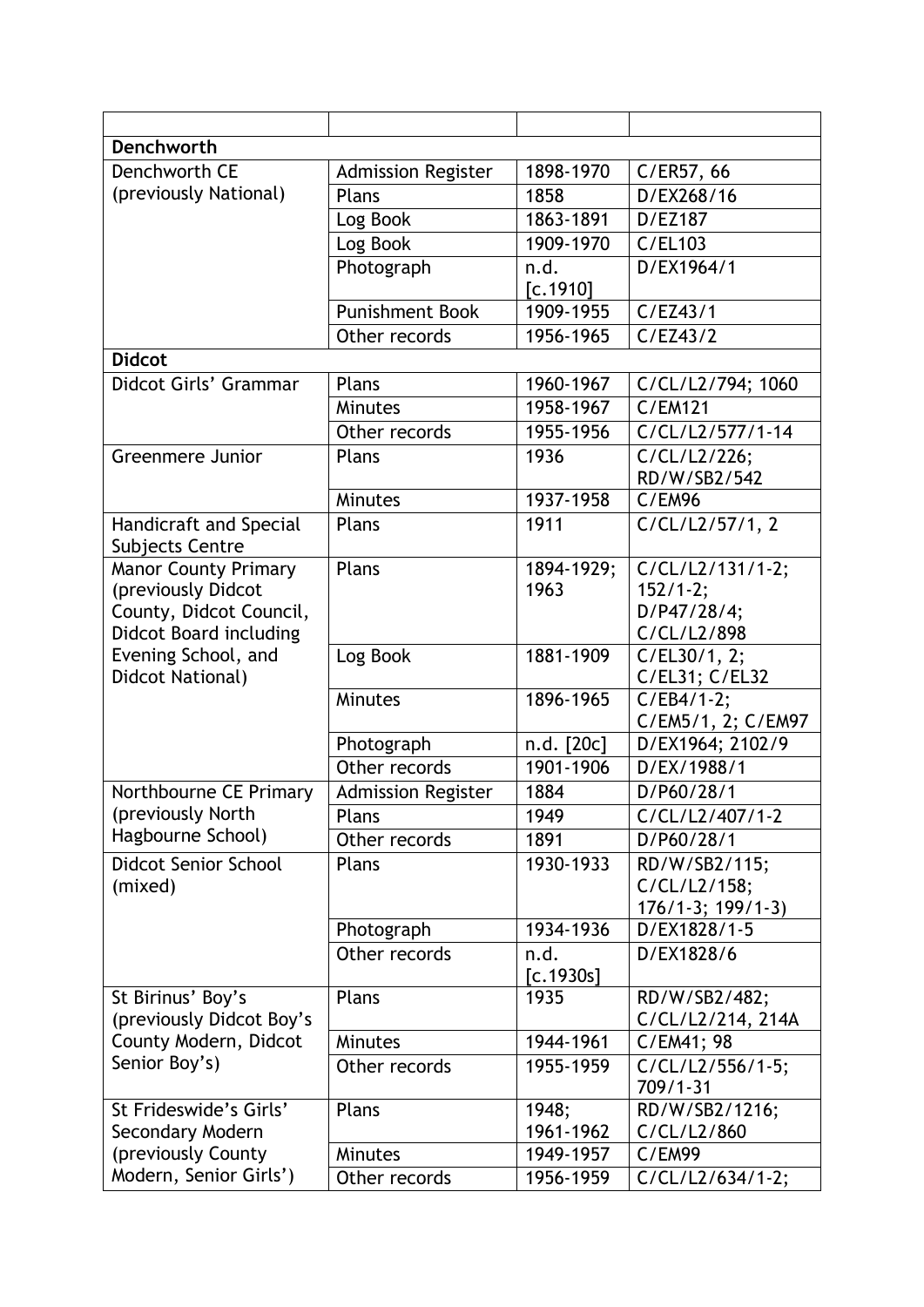| <b>Denchworth</b>                                |                           |                   |                                |
|--------------------------------------------------|---------------------------|-------------------|--------------------------------|
| Denchworth CE                                    | <b>Admission Register</b> | 1898-1970         | C/ER57, 66                     |
| (previously National)                            | Plans                     | 1858              | D/EX268/16                     |
|                                                  | Log Book                  | 1863-1891         | D/EZ187                        |
|                                                  | Log Book                  | 1909-1970         | C/EL103                        |
|                                                  | Photograph                | n.d.              | D/EX1964/1                     |
|                                                  |                           | [c.1910]          |                                |
|                                                  | <b>Punishment Book</b>    | 1909-1955         | C/EZ43/1                       |
|                                                  | Other records             | 1956-1965         | C/EZ43/2                       |
| <b>Didcot</b>                                    |                           |                   |                                |
| Didcot Girls' Grammar                            | Plans                     | 1960-1967         | C/CL/L2/794; 1060              |
|                                                  | <b>Minutes</b>            | 1958-1967         | C/EM121                        |
|                                                  | Other records             | 1955-1956         | C/CL/L2/577/1-14               |
| <b>Greenmere Junior</b>                          | Plans                     | 1936              | C/CL/L2/226;                   |
|                                                  |                           |                   | RD/W/SB2/542                   |
|                                                  | <b>Minutes</b>            | 1937-1958         | C/EM96                         |
| Handicraft and Special<br><b>Subjects Centre</b> | Plans                     | 1911              | C/CL/L2/57/1, 2                |
| <b>Manor County Primary</b>                      | Plans                     | 1894-1929;        | C/CL/L2/131/1-2;               |
| (previously Didcot                               |                           | 1963              | $152/1-2;$                     |
| County, Didcot Council,                          |                           |                   | D/P47/28/4;                    |
| <b>Didcot Board including</b>                    |                           |                   | C/CL/L2/898                    |
| Evening School, and<br>Didcot National)          | Log Book                  | 1881-1909         | C/EL30/1, 2;<br>C/EL31; C/EL32 |
|                                                  | <b>Minutes</b>            | 1896-1965         | $C/EB4/1-2;$                   |
|                                                  |                           |                   | C/EM5/1, 2; C/EM97             |
|                                                  | Photograph                | n.d. [20c]        | D/EX1964; 2102/9               |
|                                                  | Other records             | 1901-1906         | D/EX/1988/1                    |
| Northbourne CE Primary                           | <b>Admission Register</b> | 1884              | D/P60/28/1                     |
| (previously North                                | Plans                     | 1949              | C/CL/L2/407/1-2                |
| Hagbourne School)                                | Other records             | 1891              | D/P60/28/1                     |
| <b>Didcot Senior School</b>                      | Plans                     | 1930-1933         | RD/W/SB2/115;                  |
| (mixed)                                          |                           |                   | C/CL/L2/158;                   |
|                                                  |                           |                   | $176/1-3$ ; $199/1-3$ )        |
|                                                  | Photograph                | 1934-1936         | D/EX1828/1-5                   |
|                                                  | Other records             | n.d.<br>[c.1930s] | D/EX1828/6                     |
| St Birinus' Boy's                                | Plans                     | 1935              | RD/W/SB2/482;                  |
| (previously Didcot Boy's                         |                           |                   | C/CL/L2/214, 214A              |
| County Modern, Didcot                            | <b>Minutes</b>            | 1944-1961         | C/EM41; 98                     |
| Senior Boy's)                                    | Other records             | 1955-1959         | C/CL/L2/556/1-5;<br>709/1-31   |
| St Frideswide's Girls'                           | Plans                     | 1948;             | RD/W/SB2/1216;                 |
| Secondary Modern                                 |                           | 1961-1962         | C/CL/L2/860                    |
| (previously County                               | <b>Minutes</b>            | 1949-1957         | <b>C/EM99</b>                  |
| Modern, Senior Girls')                           | Other records             | 1956-1959         | C/CL/L2/634/1-2;               |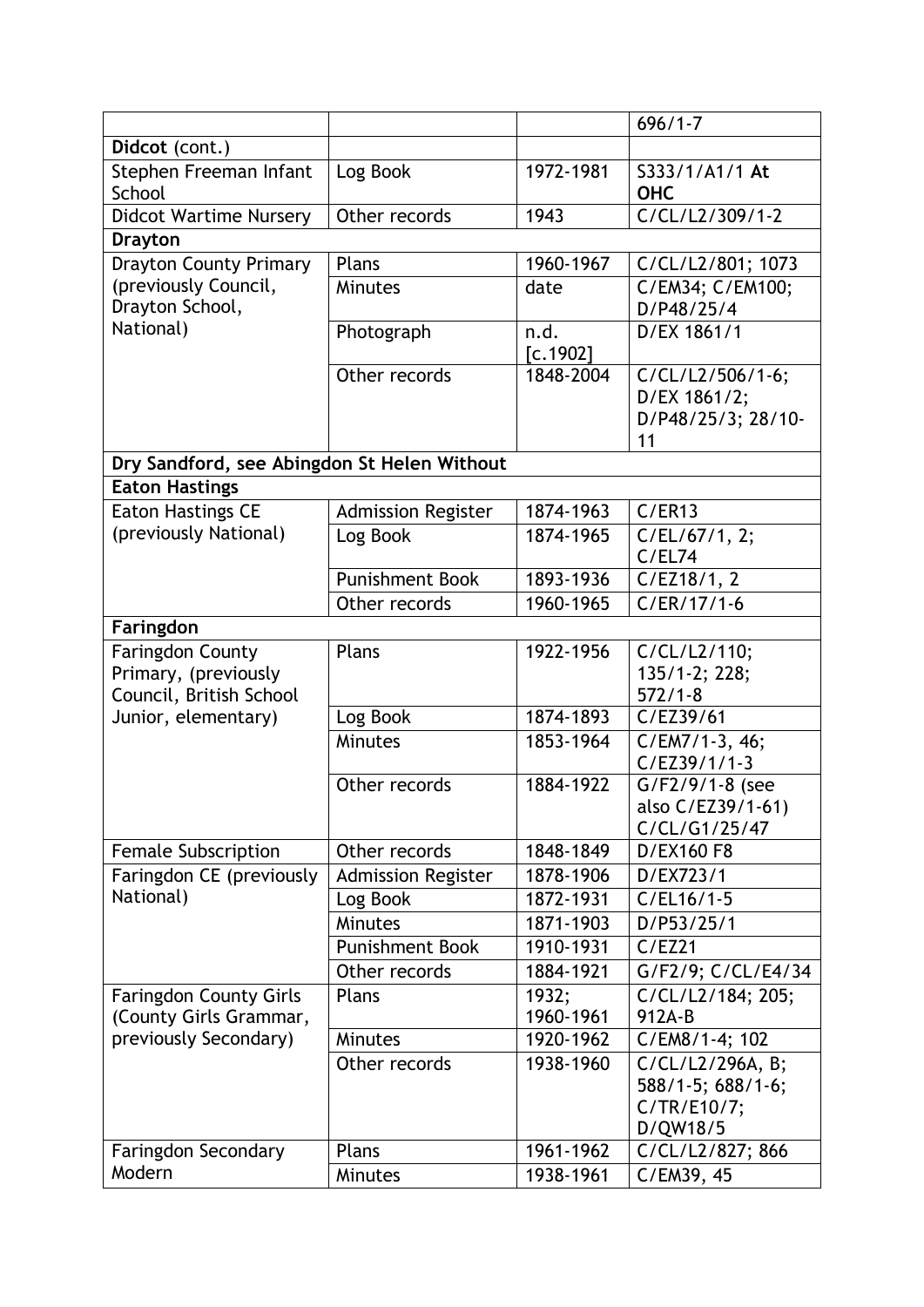|                                             |                           |           | $696/1 - 7$                        |
|---------------------------------------------|---------------------------|-----------|------------------------------------|
| Didcot (cont.)                              |                           |           |                                    |
| Stephen Freeman Infant<br>School            | Log Book                  | 1972-1981 | S333/1/A1/1 At<br><b>OHC</b>       |
| <b>Didcot Wartime Nursery</b>               | Other records             | 1943      | C/CL/L2/309/1-2                    |
| <b>Drayton</b>                              |                           |           |                                    |
| <b>Drayton County Primary</b>               | Plans                     | 1960-1967 | C/CL/L2/801; 1073                  |
| (previously Council,                        | Minutes                   | date      | C/EM34; C/EM100;                   |
| Drayton School,                             |                           |           | D/P48/25/4                         |
| National)                                   | Photograph                | n.d.      | D/EX 1861/1                        |
|                                             |                           | [c.1902]  |                                    |
|                                             | Other records             | 1848-2004 | $C/CL/L2/506/1-6;$                 |
|                                             |                           |           | D/EX 1861/2;                       |
|                                             |                           |           | D/P48/25/3; 28/10-<br>11           |
| Dry Sandford, see Abingdon St Helen Without |                           |           |                                    |
| <b>Eaton Hastings</b>                       |                           |           |                                    |
| <b>Eaton Hastings CE</b>                    | <b>Admission Register</b> | 1874-1963 | C/ER13                             |
| (previously National)                       | Log Book                  | 1874-1965 | C/EL/67/1, 2;                      |
|                                             |                           |           | C/EL74                             |
|                                             | <b>Punishment Book</b>    | 1893-1936 | C/EZ18/1, 2                        |
|                                             | Other records             | 1960-1965 | $C/ER/17/1-6$                      |
| Faringdon                                   |                           |           |                                    |
| <b>Faringdon County</b>                     | Plans                     | 1922-1956 | C/CL/L2/110;                       |
| Primary, (previously                        |                           |           | 135/1-2; 228;                      |
| Council, British School                     |                           |           | $572/1 - 8$                        |
| Junior, elementary)                         | Log Book                  | 1874-1893 | C/EZ39/61                          |
|                                             | Minutes                   | 1853-1964 | C/EM7/1-3, 46;                     |
|                                             |                           |           | $C/EZ39/1/1-3$                     |
|                                             | Other records             | 1884-1922 | $G/F2/9/1-8$ (see                  |
|                                             |                           |           | also C/EZ39/1-61)<br>C/CL/G1/25/47 |
| <b>Female Subscription</b>                  | Other records             | 1848-1849 | D/EX160 F8                         |
| Faringdon CE (previously                    | <b>Admission Register</b> | 1878-1906 | D/EX723/1                          |
| National)                                   | Log Book                  | 1872-1931 | $C/EL16/1-5$                       |
|                                             | Minutes                   | 1871-1903 | D/P53/25/1                         |
|                                             | <b>Punishment Book</b>    | 1910-1931 | C/EZ21                             |
|                                             | Other records             | 1884-1921 | G/F2/9; C/CL/E4/34                 |
| <b>Faringdon County Girls</b>               | Plans                     | 1932;     | C/CL/L2/184; 205;                  |
| (County Girls Grammar,                      |                           | 1960-1961 | 912A-B                             |
| previously Secondary)                       | <b>Minutes</b>            | 1920-1962 | C/EM8/1-4; 102                     |
|                                             | Other records             | 1938-1960 | C/CL/L2/296A, B;                   |
|                                             |                           |           | 588/1-5; 688/1-6;                  |
|                                             |                           |           | C/TR/E10/7;                        |
|                                             |                           |           | D/QW18/5                           |
| Faringdon Secondary                         | Plans                     | 1961-1962 | C/CL/L2/827; 866                   |
| Modern                                      | Minutes                   | 1938-1961 | C/EM39, 45                         |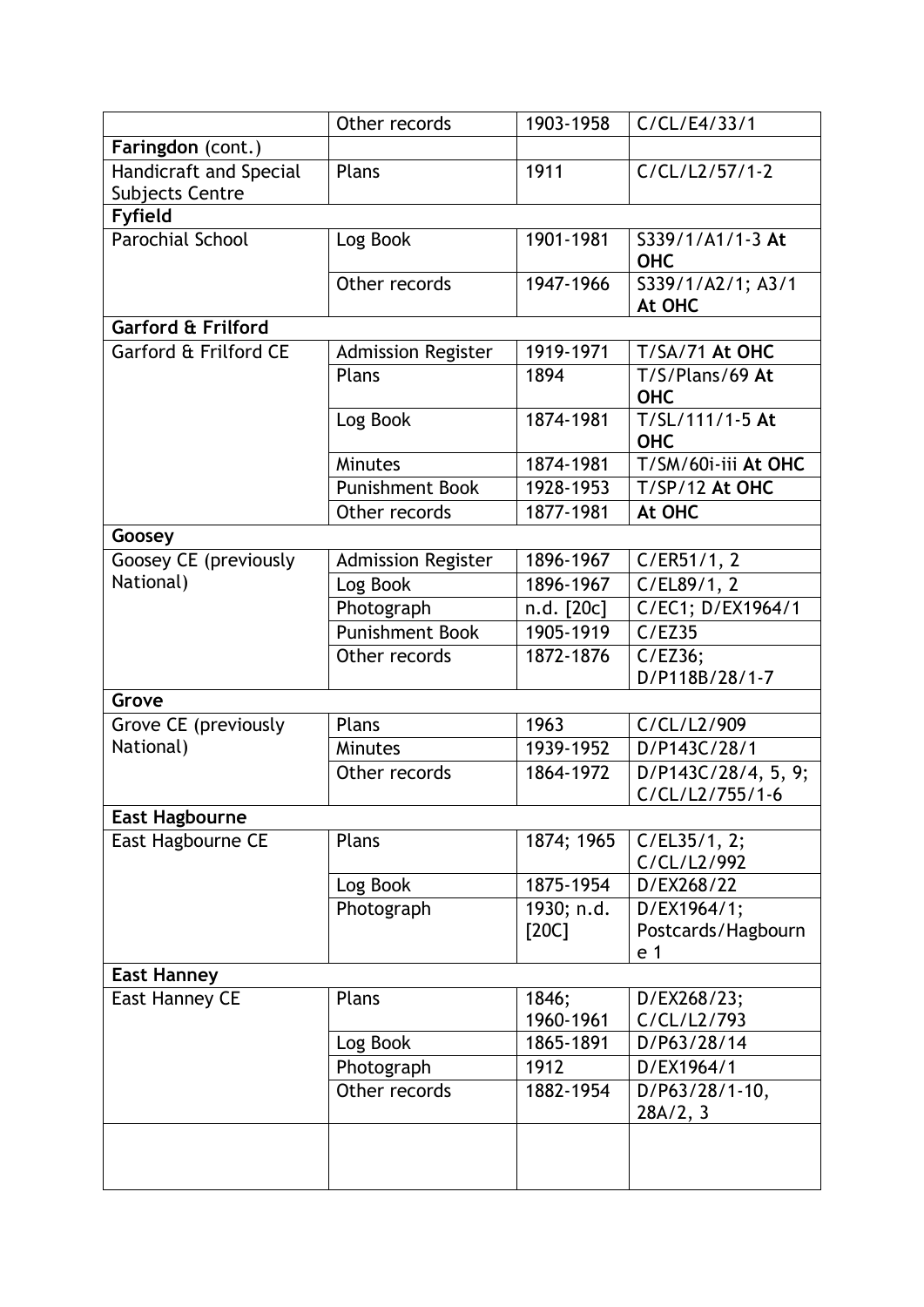| Faringdon (cont.)<br>Handicraft and Special<br>C/CL/L2/57/1-2<br>1911<br>Plans<br>Subjects Centre<br><b>Fyfield</b><br><b>Parochial School</b><br>Log Book<br>1901-1981<br>S339/1/A1/1-3 At<br><b>OHC</b><br>1947-1966<br>S339/1/A2/1; A3/1<br>Other records<br>At OHC<br>Garford & Frilford<br>Garford & Frilford CE<br>1919-1971<br>T/SA/71 At OHC<br><b>Admission Register</b><br>Plans<br>T/S/Plans/69 At<br>1894<br><b>OHC</b><br>T/SL/111/1-5 At<br>1874-1981<br>Log Book<br><b>OHC</b><br>1874-1981<br>T/SM/60i-iii At OHC<br><b>Minutes</b><br><b>Punishment Book</b><br>1928-1953<br>T/SP/12 At OHC<br>1877-1981<br>At OHC<br>Other records<br>Goosey<br>Goosey CE (previously<br><b>Admission Register</b><br>1896-1967<br>C/ER51/1, 2<br>National)<br>C/EL89/1, 2<br>Log Book<br>1896-1967<br>Photograph<br>C/EC1; D/EX1964/1<br>n.d. [20c] |
|--------------------------------------------------------------------------------------------------------------------------------------------------------------------------------------------------------------------------------------------------------------------------------------------------------------------------------------------------------------------------------------------------------------------------------------------------------------------------------------------------------------------------------------------------------------------------------------------------------------------------------------------------------------------------------------------------------------------------------------------------------------------------------------------------------------------------------------------------------|
|                                                                                                                                                                                                                                                                                                                                                                                                                                                                                                                                                                                                                                                                                                                                                                                                                                                        |
|                                                                                                                                                                                                                                                                                                                                                                                                                                                                                                                                                                                                                                                                                                                                                                                                                                                        |
|                                                                                                                                                                                                                                                                                                                                                                                                                                                                                                                                                                                                                                                                                                                                                                                                                                                        |
|                                                                                                                                                                                                                                                                                                                                                                                                                                                                                                                                                                                                                                                                                                                                                                                                                                                        |
|                                                                                                                                                                                                                                                                                                                                                                                                                                                                                                                                                                                                                                                                                                                                                                                                                                                        |
|                                                                                                                                                                                                                                                                                                                                                                                                                                                                                                                                                                                                                                                                                                                                                                                                                                                        |
|                                                                                                                                                                                                                                                                                                                                                                                                                                                                                                                                                                                                                                                                                                                                                                                                                                                        |
|                                                                                                                                                                                                                                                                                                                                                                                                                                                                                                                                                                                                                                                                                                                                                                                                                                                        |
|                                                                                                                                                                                                                                                                                                                                                                                                                                                                                                                                                                                                                                                                                                                                                                                                                                                        |
|                                                                                                                                                                                                                                                                                                                                                                                                                                                                                                                                                                                                                                                                                                                                                                                                                                                        |
|                                                                                                                                                                                                                                                                                                                                                                                                                                                                                                                                                                                                                                                                                                                                                                                                                                                        |
|                                                                                                                                                                                                                                                                                                                                                                                                                                                                                                                                                                                                                                                                                                                                                                                                                                                        |
|                                                                                                                                                                                                                                                                                                                                                                                                                                                                                                                                                                                                                                                                                                                                                                                                                                                        |
|                                                                                                                                                                                                                                                                                                                                                                                                                                                                                                                                                                                                                                                                                                                                                                                                                                                        |
|                                                                                                                                                                                                                                                                                                                                                                                                                                                                                                                                                                                                                                                                                                                                                                                                                                                        |
|                                                                                                                                                                                                                                                                                                                                                                                                                                                                                                                                                                                                                                                                                                                                                                                                                                                        |
|                                                                                                                                                                                                                                                                                                                                                                                                                                                                                                                                                                                                                                                                                                                                                                                                                                                        |
| <b>Punishment Book</b><br>1905-1919<br>C/EZ35                                                                                                                                                                                                                                                                                                                                                                                                                                                                                                                                                                                                                                                                                                                                                                                                          |
| Other records<br>1872-1876<br>C/EZ36;                                                                                                                                                                                                                                                                                                                                                                                                                                                                                                                                                                                                                                                                                                                                                                                                                  |
| D/P118B/28/1-7                                                                                                                                                                                                                                                                                                                                                                                                                                                                                                                                                                                                                                                                                                                                                                                                                                         |
| Grove                                                                                                                                                                                                                                                                                                                                                                                                                                                                                                                                                                                                                                                                                                                                                                                                                                                  |
| C/CL/L2/909<br>Grove CE (previously<br>Plans<br>1963                                                                                                                                                                                                                                                                                                                                                                                                                                                                                                                                                                                                                                                                                                                                                                                                   |
| National)<br><b>Minutes</b><br>1939-1952<br>D/P143C/28/1                                                                                                                                                                                                                                                                                                                                                                                                                                                                                                                                                                                                                                                                                                                                                                                               |
| 1864-1972<br>D/P143C/28/4, 5, 9;<br>Other records<br>C/CL/L2/755/1-6                                                                                                                                                                                                                                                                                                                                                                                                                                                                                                                                                                                                                                                                                                                                                                                   |
| <b>East Hagbourne</b>                                                                                                                                                                                                                                                                                                                                                                                                                                                                                                                                                                                                                                                                                                                                                                                                                                  |
| East Hagbourne CE<br>1874; 1965<br>C/EL35/1, 2;<br>Plans<br>C/CL/L2/992                                                                                                                                                                                                                                                                                                                                                                                                                                                                                                                                                                                                                                                                                                                                                                                |
| 1875-1954<br>Log Book<br>D/EX268/22                                                                                                                                                                                                                                                                                                                                                                                                                                                                                                                                                                                                                                                                                                                                                                                                                    |
| 1930; n.d.<br>D/EX1964/1;<br>Photograph                                                                                                                                                                                                                                                                                                                                                                                                                                                                                                                                                                                                                                                                                                                                                                                                                |
| [20C]<br>Postcards/Hagbourn                                                                                                                                                                                                                                                                                                                                                                                                                                                                                                                                                                                                                                                                                                                                                                                                                            |
| e 1                                                                                                                                                                                                                                                                                                                                                                                                                                                                                                                                                                                                                                                                                                                                                                                                                                                    |
| <b>East Hanney</b>                                                                                                                                                                                                                                                                                                                                                                                                                                                                                                                                                                                                                                                                                                                                                                                                                                     |
| <b>East Hanney CE</b><br>1846;<br>Plans<br>D/EX268/23;                                                                                                                                                                                                                                                                                                                                                                                                                                                                                                                                                                                                                                                                                                                                                                                                 |
| 1960-1961<br>C/CL/L2/793                                                                                                                                                                                                                                                                                                                                                                                                                                                                                                                                                                                                                                                                                                                                                                                                                               |
| Log Book<br>D/P63/28/14<br>1865-1891                                                                                                                                                                                                                                                                                                                                                                                                                                                                                                                                                                                                                                                                                                                                                                                                                   |
| Photograph<br>1912<br>D/EX1964/1                                                                                                                                                                                                                                                                                                                                                                                                                                                                                                                                                                                                                                                                                                                                                                                                                       |
| Other records<br>D/P63/28/1-10,<br>1882-1954<br>28A/2, 3                                                                                                                                                                                                                                                                                                                                                                                                                                                                                                                                                                                                                                                                                                                                                                                               |
|                                                                                                                                                                                                                                                                                                                                                                                                                                                                                                                                                                                                                                                                                                                                                                                                                                                        |
|                                                                                                                                                                                                                                                                                                                                                                                                                                                                                                                                                                                                                                                                                                                                                                                                                                                        |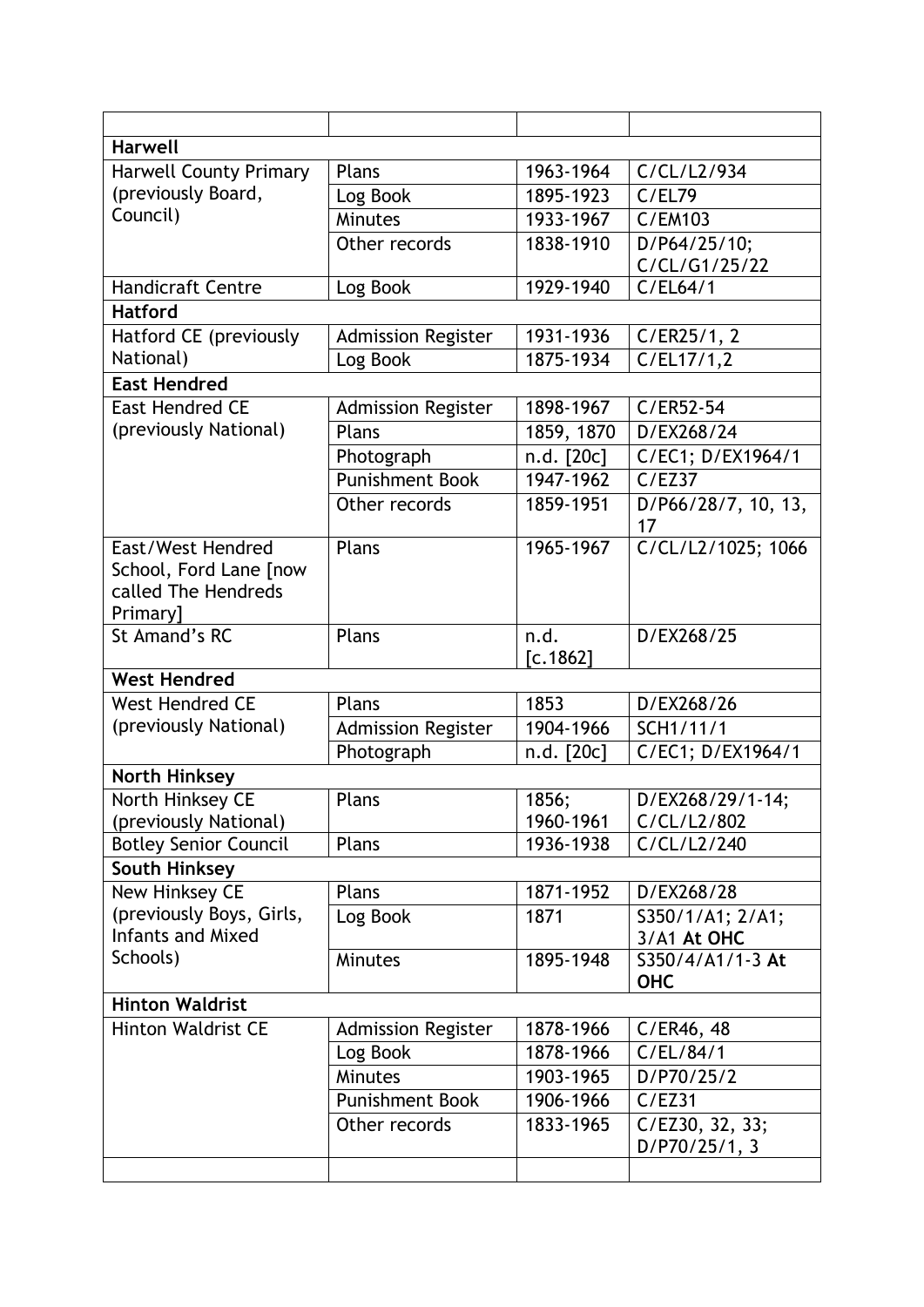| <b>Harwell</b>                |                           |                  |                                 |
|-------------------------------|---------------------------|------------------|---------------------------------|
| <b>Harwell County Primary</b> | Plans                     | 1963-1964        | C/CL/L2/934                     |
| (previously Board,            | Log Book                  | 1895-1923        | C/EL79                          |
| Council)                      | Minutes                   | 1933-1967        | C/EM103                         |
|                               | Other records             | 1838-1910        | D/P64/25/10;                    |
|                               |                           |                  | C/CL/G1/25/22                   |
| <b>Handicraft Centre</b>      | Log Book                  | 1929-1940        | C/EL64/1                        |
| <b>Hatford</b>                |                           |                  |                                 |
| Hatford CE (previously        | <b>Admission Register</b> | 1931-1936        | C/ER25/1, 2                     |
| National)                     | Log Book                  | 1875-1934        | C/EL17/1,2                      |
| <b>East Hendred</b>           |                           |                  |                                 |
| <b>East Hendred CE</b>        | <b>Admission Register</b> | 1898-1967        | C/ER52-54                       |
| (previously National)         | Plans                     | 1859, 1870       | D/EX268/24                      |
|                               | Photograph                | n.d. [20c]       | C/EC1; D/EX1964/1               |
|                               | <b>Punishment Book</b>    | 1947-1962        | C/EZ37                          |
|                               | Other records             | 1859-1951        | D/P66/28/7, 10, 13,             |
|                               |                           |                  | 17                              |
| East/West Hendred             | Plans                     | 1965-1967        | C/CL/L2/1025; 1066              |
| School, Ford Lane [now        |                           |                  |                                 |
| called The Hendreds           |                           |                  |                                 |
| Primary]                      |                           |                  |                                 |
| St Amand's RC                 | Plans                     | n.d.<br>[c.1862] | D/EX268/25                      |
| <b>West Hendred</b>           |                           |                  |                                 |
| <b>West Hendred CE</b>        | Plans                     | 1853             | D/EX268/26                      |
| (previously National)         | <b>Admission Register</b> | 1904-1966        | SCH1/11/1                       |
|                               | Photograph                | n.d. [20c]       | C/EC1; D/EX1964/1               |
| <b>North Hinksey</b>          |                           |                  |                                 |
| North Hinksey CE              |                           | 1856:            |                                 |
| (previously National)         | Plans                     | 1960-1961        | D/EX268/29/1-14;<br>C/CL/L2/802 |
| <b>Botley Senior Council</b>  | Plans                     | 1936-1938        | C/CL/L2/240                     |
| <b>South Hinksey</b>          |                           |                  |                                 |
| New Hinksey CE                | Plans                     | 1871-1952        | D/EX268/28                      |
| (previously Boys, Girls,      | Log Book                  | 1871             | S350/1/A1; 2/A1;                |
| <b>Infants and Mixed</b>      |                           |                  | 3/A1 At OHC                     |
| Schools)                      | <b>Minutes</b>            | 1895-1948        | S350/4/A1/1-3 At                |
|                               |                           |                  | <b>OHC</b>                      |
| <b>Hinton Waldrist</b>        |                           |                  |                                 |
| <b>Hinton Waldrist CE</b>     | <b>Admission Register</b> | 1878-1966        | C/ER46, 48                      |
|                               | Log Book                  | 1878-1966        | C/EL/84/1                       |
|                               | Minutes                   | 1903-1965        | D/P70/25/2                      |
|                               | <b>Punishment Book</b>    | 1906-1966        | C/EZ31                          |
|                               | Other records             | 1833-1965        | C/EZ30, 32, 33;                 |
|                               |                           |                  | D/P70/25/1, 3                   |
|                               |                           |                  |                                 |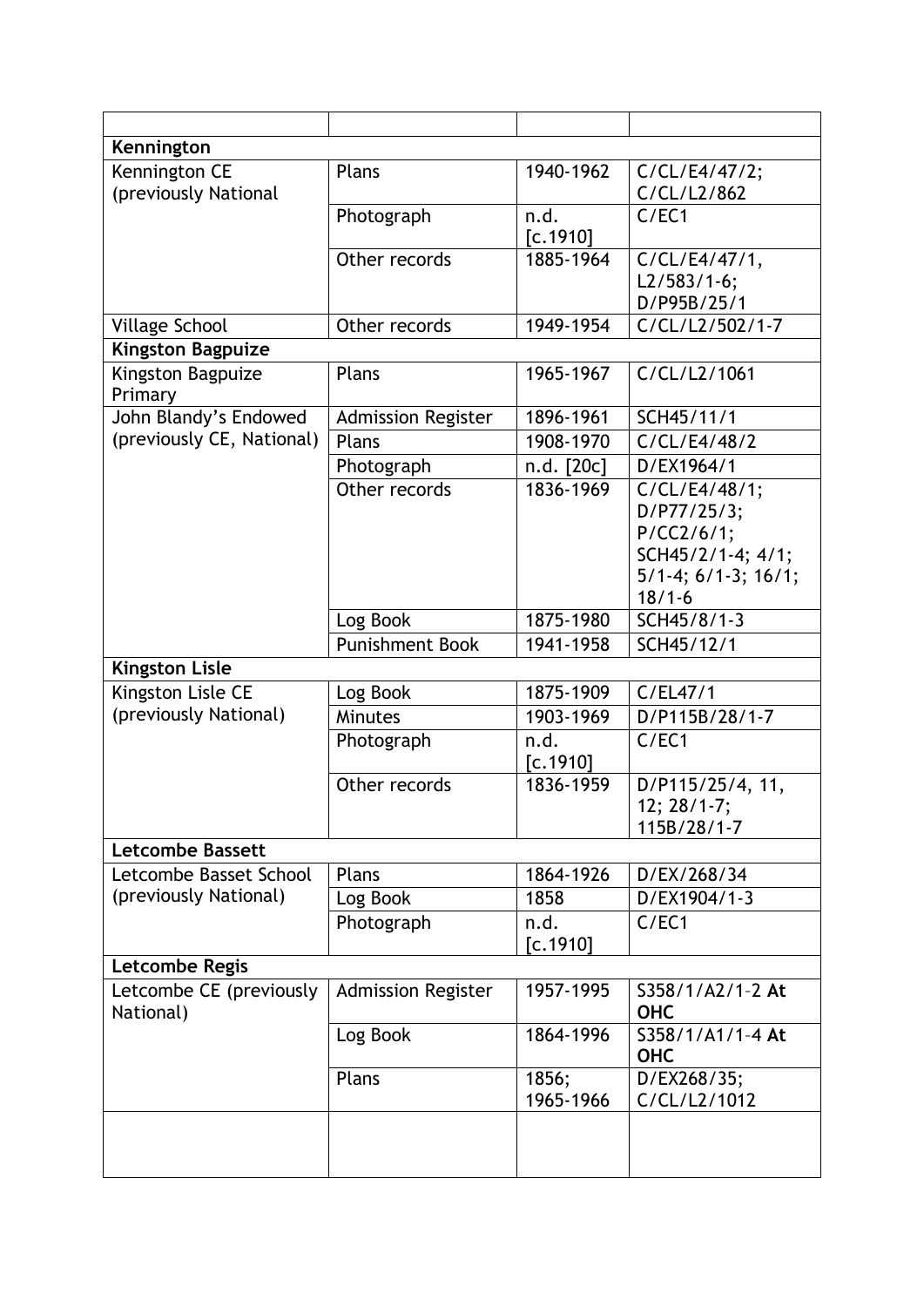| Kennington                            |                           |                    |                                                                                                               |
|---------------------------------------|---------------------------|--------------------|---------------------------------------------------------------------------------------------------------------|
| Kennington CE<br>(previously National | Plans                     | 1940-1962          | C/CL/E4/47/2;<br>C/CL/L2/862                                                                                  |
|                                       | Photograph                | n.d.<br>[c.1910]   | C/EC1                                                                                                         |
|                                       | Other records             | 1885-1964          | C/CL/E4/47/1,<br>$L2/583/1-6;$<br>D/P95B/25/1                                                                 |
| <b>Village School</b>                 | Other records             | 1949-1954          | C/CL/L2/502/1-7                                                                                               |
| Kingston Bagpuize                     |                           |                    |                                                                                                               |
| Kingston Bagpuize<br>Primary          | Plans                     | 1965-1967          | C/CL/L2/1061                                                                                                  |
| John Blandy's Endowed                 | <b>Admission Register</b> | 1896-1961          | SCH45/11/1                                                                                                    |
| (previously CE, National)             | Plans                     | 1908-1970          | C/CL/E4/48/2                                                                                                  |
|                                       | Photograph                | n.d. [20c]         | D/EX1964/1                                                                                                    |
|                                       | Other records             | 1836-1969          | C/CL/E4/48/1;<br>D/P77/25/3;<br>P/CC2/6/1;<br>SCH45/2/1-4; 4/1;<br>$5/1-4$ ; $6/1-3$ ; $16/1$ ;<br>$18/1 - 6$ |
|                                       | Log Book                  | 1875-1980          | SCH45/8/1-3                                                                                                   |
|                                       | <b>Punishment Book</b>    | 1941-1958          | SCH45/12/1                                                                                                    |
| <b>Kingston Lisle</b>                 |                           |                    |                                                                                                               |
| Kingston Lisle CE                     | Log Book                  | 1875-1909          | C/EL47/1                                                                                                      |
| (previously National)                 | <b>Minutes</b>            | 1903-1969          | D/P115B/28/1-7                                                                                                |
|                                       | Photograph                | n.d.<br>[c.1910]   | C/EC1                                                                                                         |
|                                       | Other records             | 1836-1959          | D/P115/25/4, 11,<br>$12; 28/1-7;$<br>115B/28/1-7                                                              |
| <b>Letcombe Bassett</b>               |                           |                    |                                                                                                               |
| Letcombe Basset School                | Plans                     | 1864-1926          | D/EX/268/34                                                                                                   |
| (previously National)                 | Log Book                  | 1858               | D/EX1904/1-3                                                                                                  |
|                                       | Photograph                | n.d.<br>[c.1910]   | C/EC1                                                                                                         |
| Letcombe Regis                        |                           |                    |                                                                                                               |
| Letcombe CE (previously<br>National)  | <b>Admission Register</b> | 1957-1995          | S358/1/A2/1-2 At<br><b>OHC</b>                                                                                |
|                                       | Log Book                  | 1864-1996          | S358/1/A1/1-4 At<br><b>OHC</b>                                                                                |
|                                       | Plans                     | 1856;<br>1965-1966 | D/EX268/35;<br>C/CL/L2/1012                                                                                   |
|                                       |                           |                    |                                                                                                               |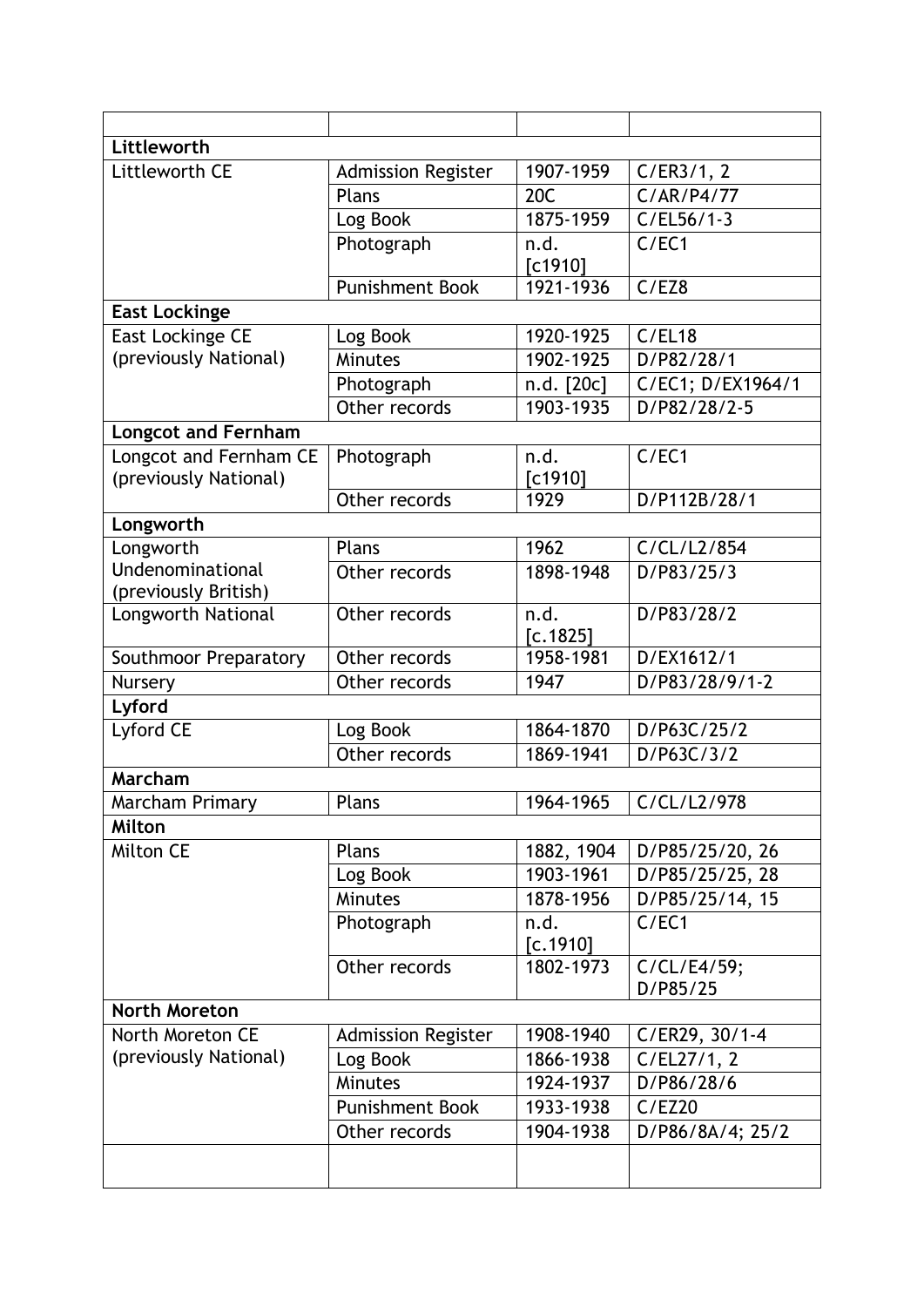| Littleworth                                     |                           |                   |                         |  |  |
|-------------------------------------------------|---------------------------|-------------------|-------------------------|--|--|
| Littleworth CE                                  | <b>Admission Register</b> | 1907-1959         | C/ER3/1, 2              |  |  |
|                                                 | Plans                     | 20C               | C/AR/P4/77              |  |  |
|                                                 | Log Book                  | 1875-1959         | $C/EL56/1-3$            |  |  |
|                                                 | Photograph                | n.d.<br>$[c1910]$ | C/EC1                   |  |  |
|                                                 | <b>Punishment Book</b>    | 1921-1936         | C/EZ8                   |  |  |
| <b>East Lockinge</b>                            |                           |                   |                         |  |  |
| East Lockinge CE                                | Log Book                  | 1920-1925         | C/EL18                  |  |  |
| (previously National)                           | Minutes                   | 1902-1925         | D/P82/28/1              |  |  |
|                                                 | Photograph                | n.d. [20c]        | C/EC1; D/EX1964/1       |  |  |
|                                                 | Other records             | 1903-1935         | D/P82/28/2-5            |  |  |
| <b>Longcot and Fernham</b>                      |                           |                   |                         |  |  |
| Longcot and Fernham CE<br>(previously National) | Photograph                | n.d.<br>$[c1910]$ | C/EC1                   |  |  |
|                                                 | Other records             | 1929              | D/P112B/28/1            |  |  |
| Longworth                                       |                           |                   |                         |  |  |
| Longworth                                       | Plans                     | 1962              | C/CL/L2/854             |  |  |
| Undenominational<br>(previously British)        | Other records             | 1898-1948         | D/P83/25/3              |  |  |
| Longworth National                              | Other records             | n.d.<br>[c.1825]  | D/P83/28/2              |  |  |
| <b>Southmoor Preparatory</b>                    | Other records             | 1958-1981         | D/EX1612/1              |  |  |
| Nursery                                         | Other records             | 1947              | D/P83/28/9/1-2          |  |  |
| Lyford                                          |                           |                   |                         |  |  |
| Lyford CE                                       | Log Book                  | 1864-1870         | D/P63C/25/2             |  |  |
|                                                 | Other records             | 1869-1941         | D/P63C/3/2              |  |  |
| <b>Marcham</b>                                  |                           |                   |                         |  |  |
| Marcham Primary                                 | Plans                     | 1964-1965         | C/CL/L2/978             |  |  |
| Milton                                          |                           |                   |                         |  |  |
| <b>Milton CE</b>                                | Plans                     | 1882, 1904        | D/P85/25/20, 26         |  |  |
|                                                 | Log Book                  | 1903-1961         | D/P85/25/25, 28         |  |  |
|                                                 | Minutes                   | 1878-1956         | D/P85/25/14, 15         |  |  |
|                                                 | Photograph                | n.d.<br>[c.1910]  | C/EC1                   |  |  |
|                                                 | Other records             | 1802-1973         | C/CL/E4/59;<br>D/P85/25 |  |  |
| <b>North Moreton</b>                            |                           |                   |                         |  |  |
| North Moreton CE                                | <b>Admission Register</b> | 1908-1940         | C/ER29, 30/1-4          |  |  |
| (previously National)                           | Log Book                  | 1866-1938         | C/EL27/1, 2             |  |  |
|                                                 | Minutes                   | 1924-1937         | D/P86/28/6              |  |  |
|                                                 | <b>Punishment Book</b>    | 1933-1938         | C/EZ20                  |  |  |
|                                                 | Other records             | 1904-1938         | D/P86/8A/4; 25/2        |  |  |
|                                                 |                           |                   |                         |  |  |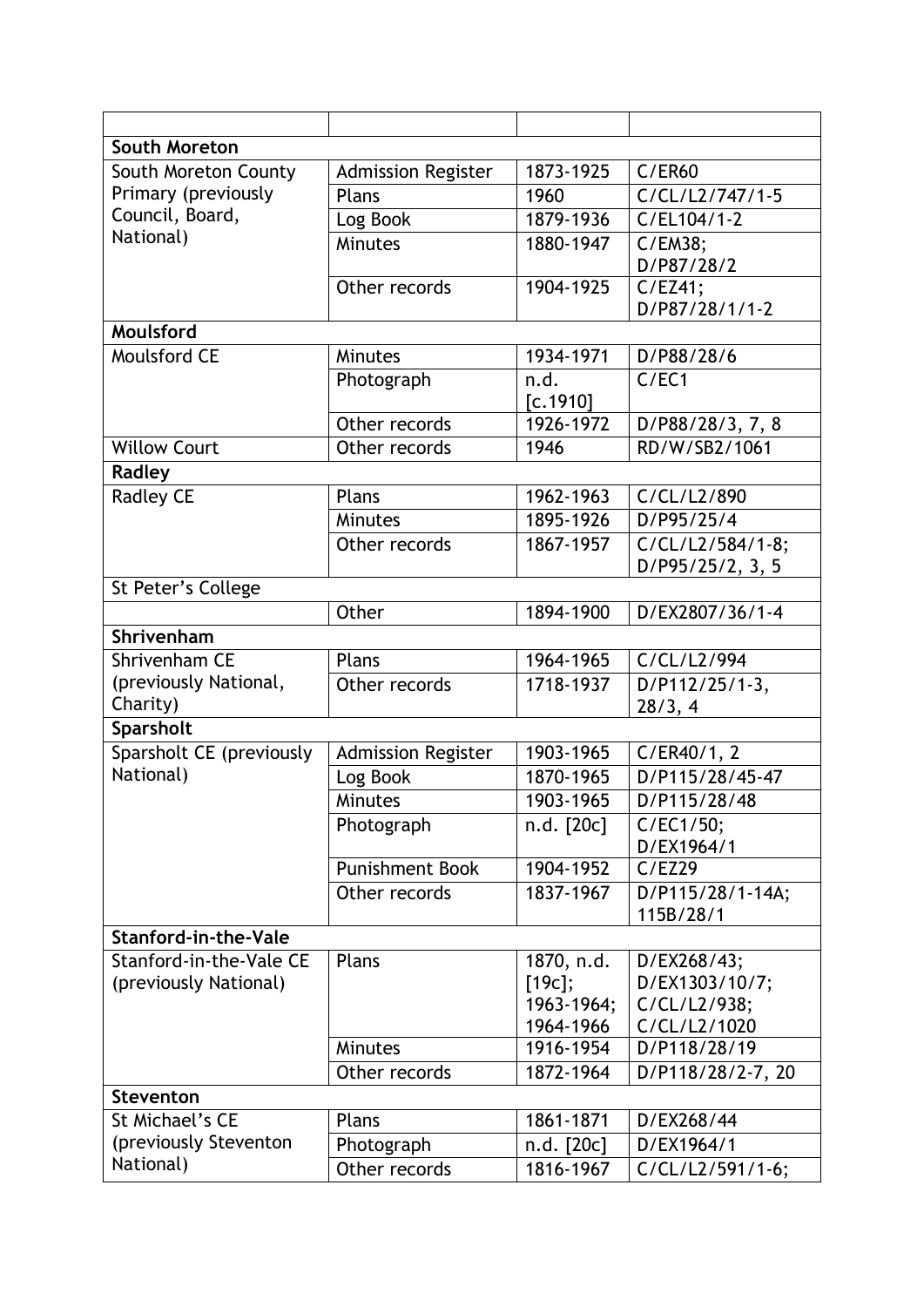| <b>South Moreton</b>                             |                           |                         |                                      |
|--------------------------------------------------|---------------------------|-------------------------|--------------------------------------|
| South Moreton County                             | <b>Admission Register</b> | 1873-1925               | C/ER60                               |
| Primary (previously                              | Plans                     | 1960                    | C/CL/L2/747/1-5                      |
| Council, Board,                                  | Log Book                  | 1879-1936               | C/EL104/1-2                          |
| National)                                        | Minutes                   | 1880-1947               | C/EM38;<br>D/P87/28/2                |
|                                                  | Other records             | 1904-1925               | C/EZ41;<br>D/P87/28/1/1-2            |
| Moulsford                                        |                           |                         |                                      |
| <b>Moulsford CE</b>                              | <b>Minutes</b>            | 1934-1971               | D/P88/28/6                           |
|                                                  | Photograph                | n.d.<br>[c.1910]        | C/EC1                                |
|                                                  | Other records             | 1926-1972               | D/P88/28/3, 7, 8                     |
| <b>Willow Court</b>                              | Other records             | 1946                    | RD/W/SB2/1061                        |
| Radley                                           |                           |                         |                                      |
| <b>Radley CE</b>                                 | Plans                     | 1962-1963               | C/CL/L2/890                          |
|                                                  | Minutes                   | 1895-1926               | D/P95/25/4                           |
|                                                  | Other records             | 1867-1957               | C/CL/L2/584/1-8;<br>D/P95/25/2, 3, 5 |
| St Peter's College                               |                           |                         |                                      |
|                                                  | Other                     | 1894-1900               | D/EX2807/36/1-4                      |
| Shrivenham                                       |                           |                         |                                      |
| Shrivenham CE                                    | Plans                     | 1964-1965               | C/CL/L2/994                          |
| (previously National,<br>Charity)                | Other records             | 1718-1937               | D/P112/25/1-3,<br>28/3, 4            |
| Sparsholt                                        |                           |                         |                                      |
| Sparsholt CE (previously                         | <b>Admission Register</b> | 1903-1965               | C/ER40/1, 2                          |
| National)                                        | Log Book                  | 1870-1965               | D/P115/28/45-47                      |
|                                                  | Minutes                   | 1903-1965               | D/P115/28/48                         |
|                                                  | Photograph                | n.d. [20c]              | C/EC1/50;<br>D/EX1964/1              |
|                                                  | <b>Punishment Book</b>    | 1904-1952               | C/EZ29                               |
|                                                  | Other records             | 1837-1967               | D/P115/28/1-14A;<br>115B/28/1        |
| Stanford-in-the-Vale                             |                           |                         |                                      |
| Stanford-in-the-Vale CE<br>(previously National) | Plans                     | 1870, n.d.<br>[19c];    | D/EX268/43;<br>D/EX1303/10/7;        |
|                                                  |                           | 1963-1964;<br>1964-1966 | C/CL/L2/938;<br>C/CL/L2/1020         |
|                                                  | <b>Minutes</b>            | 1916-1954               | D/P118/28/19                         |
|                                                  | Other records             | 1872-1964               | D/P118/28/2-7, 20                    |
| Steventon                                        |                           |                         |                                      |
| St Michael's CE                                  | Plans                     | 1861-1871               | D/EX268/44                           |
| (previously Steventon                            | Photograph                | n.d. [20c]              | D/EX1964/1                           |
| National)                                        | Other records             | 1816-1967               | C/CL/L2/591/1-6;                     |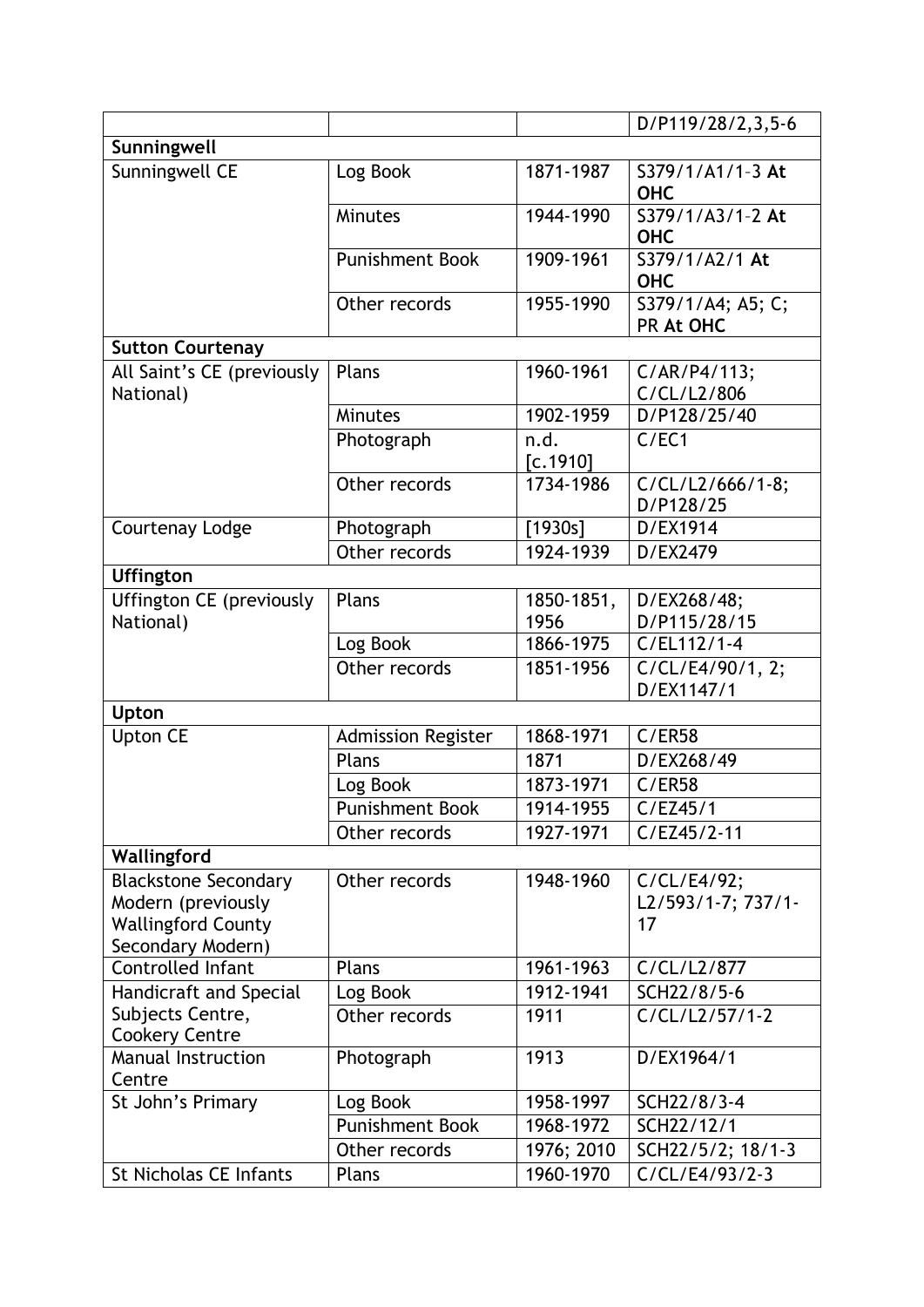|                                                                                                     |                           |                    | D/P119/28/2,3,5-6                       |
|-----------------------------------------------------------------------------------------------------|---------------------------|--------------------|-----------------------------------------|
| Sunningwell                                                                                         |                           |                    |                                         |
| Sunningwell CE                                                                                      | Log Book                  | 1871-1987          | S379/1/A1/1-3 At<br><b>OHC</b>          |
|                                                                                                     | <b>Minutes</b>            | 1944-1990          | S379/1/A3/1-2 At<br><b>OHC</b>          |
|                                                                                                     | <b>Punishment Book</b>    | 1909-1961          | S379/1/A2/1 At<br><b>OHC</b>            |
|                                                                                                     | Other records             | 1955-1990          | S379/1/A4; A5; C;<br>PR At OHC          |
| <b>Sutton Courtenay</b>                                                                             |                           |                    |                                         |
| All Saint's CE (previously<br>National)                                                             | Plans                     | 1960-1961          | C/AR/P4/113;<br>C/CL/L2/806             |
|                                                                                                     | <b>Minutes</b>            | 1902-1959          | D/P128/25/40                            |
|                                                                                                     | Photograph                | n.d.<br>[c.1910]   | C/EC1                                   |
|                                                                                                     | Other records             | 1734-1986          | $C/CL/L2/666/1-8;$<br>D/P128/25         |
| Courtenay Lodge                                                                                     | Photograph                | [1930s]            | D/EX1914                                |
|                                                                                                     | Other records             | 1924-1939          | D/EX2479                                |
| <b>Uffington</b>                                                                                    |                           |                    |                                         |
| Uffington CE (previously<br>National)                                                               | Plans                     | 1850-1851,<br>1956 | D/EX268/48;<br>D/P115/28/15             |
|                                                                                                     | Log Book                  | 1866-1975          | $C/EL112/1-4$                           |
|                                                                                                     | Other records             | 1851-1956          | C/CL/E4/90/1, 2;<br>D/EX1147/1          |
| Upton                                                                                               |                           |                    |                                         |
| <b>Upton CE</b>                                                                                     | <b>Admission Register</b> | 1868-1971          | C/ER58                                  |
|                                                                                                     | Plans                     | 1871               | D/EX268/49                              |
|                                                                                                     | Log Book                  | 1873-1971          | C/ER58                                  |
|                                                                                                     | Punishment Book           | 1914-1955          | C/EZ45/1                                |
|                                                                                                     | Other records             | 1927-1971          | $C/EZ45/2-11$                           |
| Wallingford                                                                                         |                           |                    |                                         |
| <b>Blackstone Secondary</b><br>Modern (previously<br><b>Wallingford County</b><br>Secondary Modern) | Other records             | 1948-1960          | C/CL/E4/92;<br>L2/593/1-7; 737/1-<br>17 |
| <b>Controlled Infant</b>                                                                            | Plans                     | 1961-1963          | C/CL/L2/877                             |
| Handicraft and Special                                                                              | Log Book                  | 1912-1941          | SCH22/8/5-6                             |
| Subjects Centre,<br><b>Cookery Centre</b>                                                           | Other records             | 1911               | C/CL/L2/57/1-2                          |
| <b>Manual Instruction</b><br>Centre                                                                 | Photograph                | 1913               | D/EX1964/1                              |
| St John's Primary                                                                                   | Log Book                  | 1958-1997          | SCH22/8/3-4                             |
|                                                                                                     | <b>Punishment Book</b>    | 1968-1972          | SCH22/12/1                              |
|                                                                                                     | Other records             | 1976; 2010         | SCH22/5/2; 18/1-3                       |
| <b>St Nicholas CE Infants</b>                                                                       | Plans                     | 1960-1970          | C/CL/E4/93/2-3                          |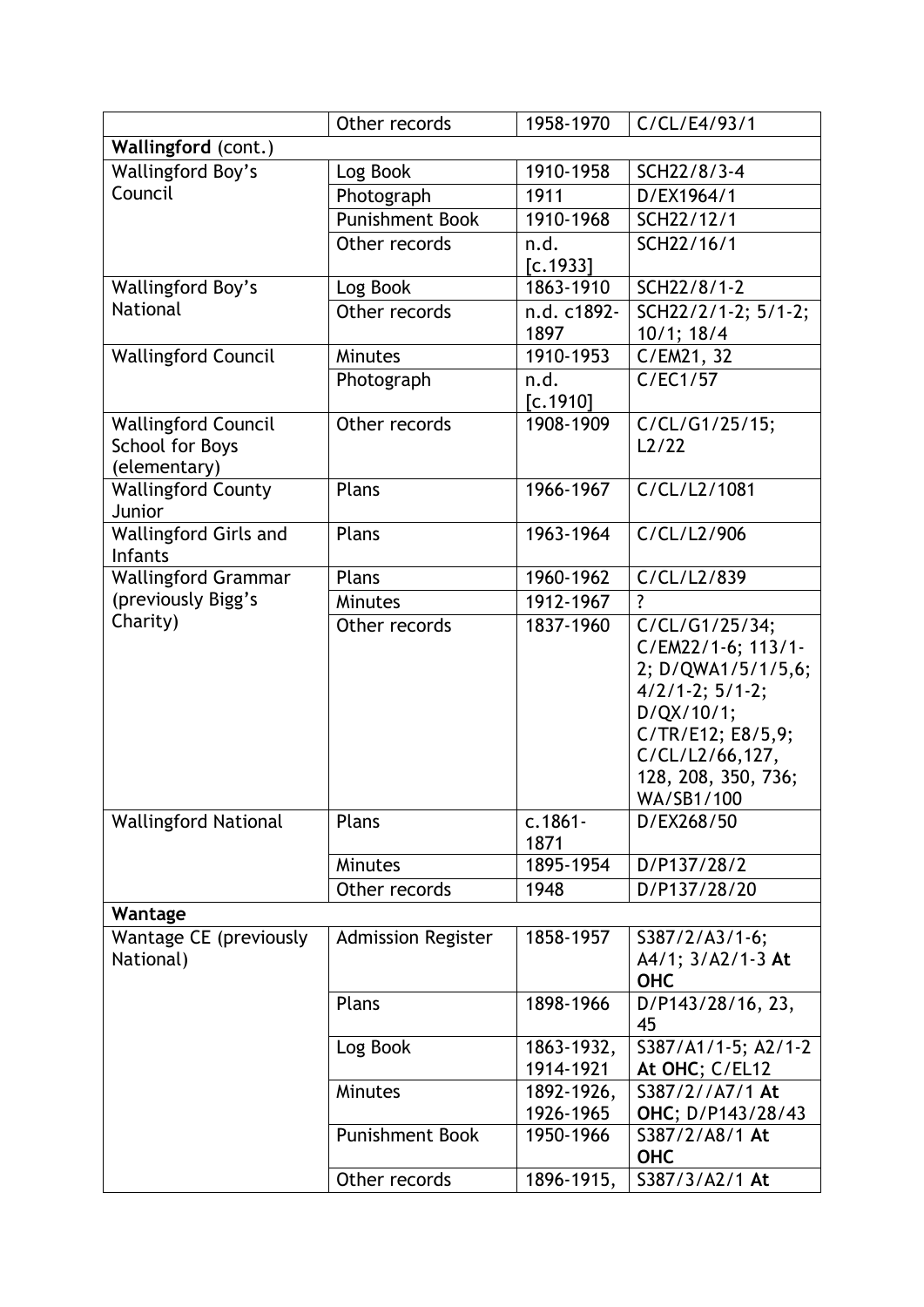|                                        | Other records             | 1958-1970              | C/CL/E4/93/1                 |
|----------------------------------------|---------------------------|------------------------|------------------------------|
| Wallingford (cont.)                    |                           |                        |                              |
| <b>Wallingford Boy's</b>               | Log Book                  | 1910-1958              | SCH22/8/3-4                  |
| Council                                | Photograph                | 1911                   | D/EX1964/1                   |
|                                        | <b>Punishment Book</b>    | 1910-1968              | SCH22/12/1                   |
|                                        | Other records             | n.d.                   | SCH22/16/1                   |
|                                        |                           | [c.1933]               |                              |
| Wallingford Boy's                      | Log Book                  | 1863-1910              | SCH22/8/1-2                  |
| National                               | Other records             | n.d. c1892-            | SCH22/2/1-2; 5/1-2;          |
|                                        |                           | 1897                   | $10/1$ ; $18/4$              |
| <b>Wallingford Council</b>             | <b>Minutes</b>            | 1910-1953              | C/EM21, 32                   |
|                                        | Photograph                | n.d.                   | C/EC1/57                     |
|                                        |                           | [c.1910]               |                              |
| <b>Wallingford Council</b>             | Other records             | 1908-1909              | C/CL/G1/25/15;               |
| School for Boys                        |                           |                        | L2/22                        |
| (elementary)                           |                           |                        |                              |
| <b>Wallingford County</b>              | Plans                     | 1966-1967              | C/CL/L2/1081                 |
| Junior<br><b>Wallingford Girls and</b> | Plans                     | 1963-1964              | C/CL/L2/906                  |
| <b>Infants</b>                         |                           |                        |                              |
| <b>Wallingford Grammar</b>             | Plans                     | 1960-1962              | C/CL/L2/839                  |
| (previously Bigg's                     | <b>Minutes</b>            | 1912-1967              | $\overline{?}$               |
| Charity)                               | Other records             | 1837-1960              | C/CL/G1/25/34;               |
|                                        |                           |                        | C/EM22/1-6; 113/1-           |
|                                        |                           |                        | 2; D/QWA1/5/1/5,6;           |
|                                        |                           |                        | $4/2/1-2$ ; $5/1-2$ ;        |
|                                        |                           |                        | D/QX/10/1;                   |
|                                        |                           |                        | C/TR/E12; E8/5,9;            |
|                                        |                           |                        | C/CL/L2/66,127,              |
|                                        |                           |                        | 128, 208, 350, 736;          |
|                                        |                           |                        | WA/SB1/100                   |
| <b>Wallingford National</b>            | Plans                     | $c.1861 -$             | D/EX268/50                   |
|                                        |                           | 1871                   |                              |
|                                        | <b>Minutes</b>            | 1895-1954              | D/P137/28/2                  |
|                                        | Other records             | 1948                   | D/P137/28/20                 |
| Wantage                                |                           |                        |                              |
| Wantage CE (previously                 | <b>Admission Register</b> | 1858-1957              | S387/2/A3/1-6;               |
| National)                              |                           |                        | A4/1; 3/A2/1-3 At            |
|                                        |                           |                        | <b>OHC</b>                   |
|                                        | Plans                     | 1898-1966              | D/P143/28/16, 23,            |
|                                        |                           |                        | 45                           |
|                                        | Log Book                  | 1863-1932,             | S387/A1/1-5; A2/1-2          |
|                                        |                           | 1914-1921              | At OHC; C/EL12               |
|                                        | Minutes                   | 1892-1926,             | S387/2//A7/1 At              |
|                                        | <b>Punishment Book</b>    | 1926-1965<br>1950-1966 | OHC; D/P143/28/43            |
|                                        |                           |                        | S387/2/A8/1 At<br><b>OHC</b> |
|                                        | Other records             | 1896-1915,             | S387/3/A2/1 At               |
|                                        |                           |                        |                              |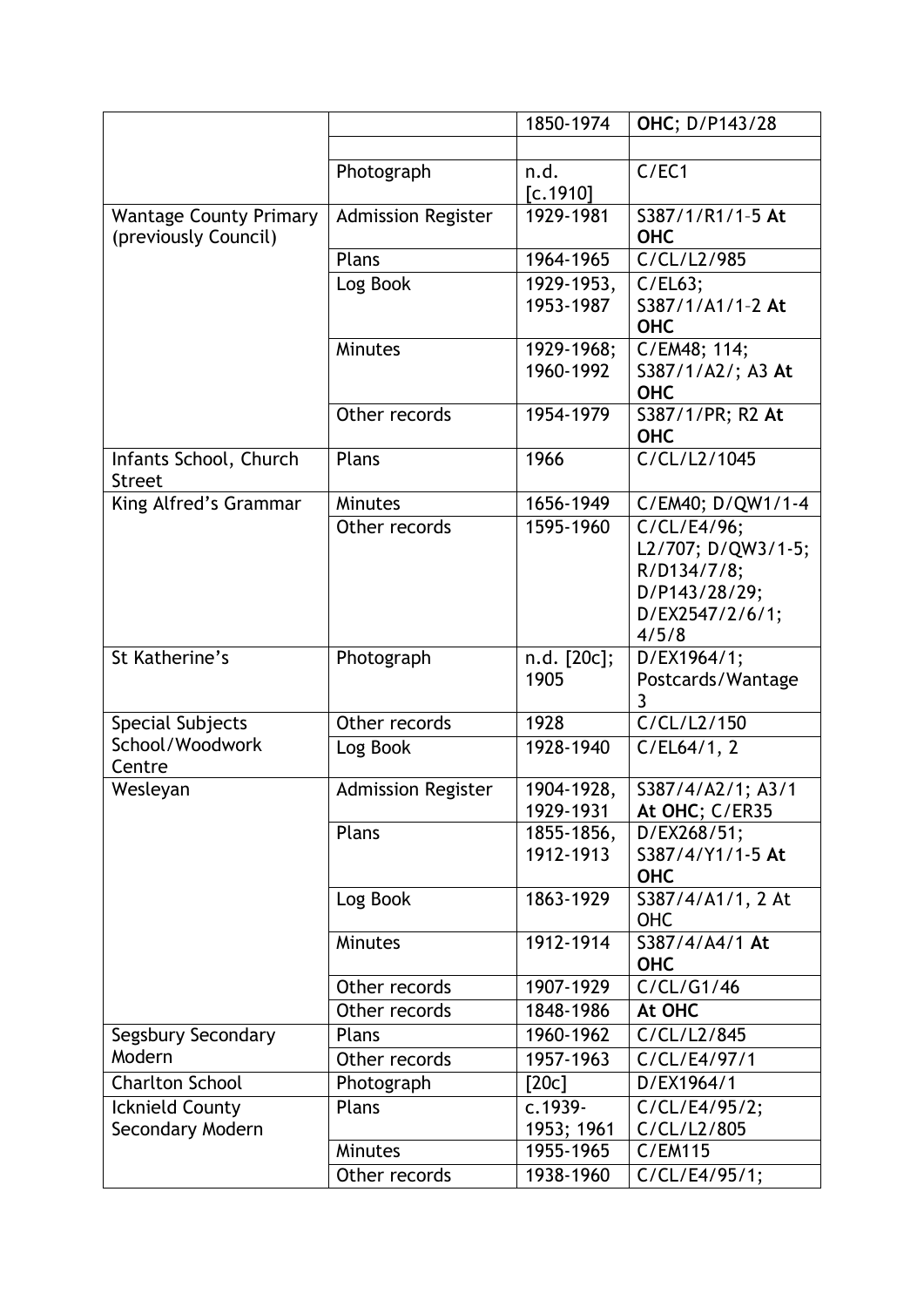|                                                       |                           | 1850-1974               | OHC; D/P143/28                                                                                              |
|-------------------------------------------------------|---------------------------|-------------------------|-------------------------------------------------------------------------------------------------------------|
|                                                       |                           |                         |                                                                                                             |
|                                                       | Photograph                | n.d.<br>[c.1910]        | C/EC1                                                                                                       |
| <b>Wantage County Primary</b><br>(previously Council) | <b>Admission Register</b> | 1929-1981               | S387/1/R1/1-5 At<br><b>OHC</b>                                                                              |
|                                                       | Plans                     | 1964-1965               | C/CL/L2/985                                                                                                 |
|                                                       | Log Book                  | 1929-1953,<br>1953-1987 | C/EL63;<br>S387/1/A1/1-2 At<br><b>OHC</b>                                                                   |
|                                                       | <b>Minutes</b>            | 1929-1968;<br>1960-1992 | C/EM48; 114;<br>S387/1/A2/; A3 At<br><b>OHC</b>                                                             |
|                                                       | Other records             | 1954-1979               | S387/1/PR; R2 At<br><b>OHC</b>                                                                              |
| Infants School, Church<br><b>Street</b>               | Plans                     | 1966                    | C/CL/L2/1045                                                                                                |
| King Alfred's Grammar                                 | Minutes                   | 1656-1949               | C/EM40; D/QW1/1-4                                                                                           |
|                                                       | Other records             | 1595-1960               | $\overline{C/CL/E4/96}$ ;<br>L2/707; D/QW3/1-5;<br>R/D134/7/8;<br>D/P143/28/29;<br>D/EX2547/2/6/1;<br>4/5/8 |
| St Katherine's                                        | Photograph                | n.d. [20c];<br>1905     | D/EX1964/1;<br>Postcards/Wantage<br>3                                                                       |
| Special Subjects                                      | Other records             | 1928                    | C/CL/L2/150                                                                                                 |
| School/Woodwork<br>Centre                             | Log Book                  | 1928-1940               | C/EL64/1, 2                                                                                                 |
| Wesleyan                                              | <b>Admission Register</b> | 1904-1928,<br>1929-1931 | S387/4/A2/1; A3/1<br>At OHC; C/ER35                                                                         |
|                                                       | Plans                     | 1855-1856,<br>1912-1913 | D/EX268/51;<br>S387/4/Y1/1-5 At<br><b>OHC</b>                                                               |
|                                                       | Log Book                  | 1863-1929               | S387/4/A1/1, 2 At<br><b>OHC</b>                                                                             |
|                                                       | <b>Minutes</b>            | 1912-1914               | S387/4/A4/1 At<br><b>OHC</b>                                                                                |
|                                                       | Other records             | 1907-1929               | C/CL/G1/46                                                                                                  |
|                                                       | Other records             | 1848-1986               | At OHC                                                                                                      |
| Segsbury Secondary                                    | Plans                     | 1960-1962               | C/CL/L2/845                                                                                                 |
| Modern                                                | Other records             | 1957-1963               | C/CL/E4/97/1                                                                                                |
| <b>Charlton School</b>                                | Photograph                | [20c]                   | D/EX1964/1                                                                                                  |
| Icknield County<br>Secondary Modern                   | Plans                     | c.1939-<br>1953; 1961   | C/CL/E4/95/2;<br>C/CL/L2/805                                                                                |
|                                                       | <b>Minutes</b>            | 1955-1965               | C/EM115                                                                                                     |
|                                                       | Other records             | 1938-1960               | C/CL/E4/95/1;                                                                                               |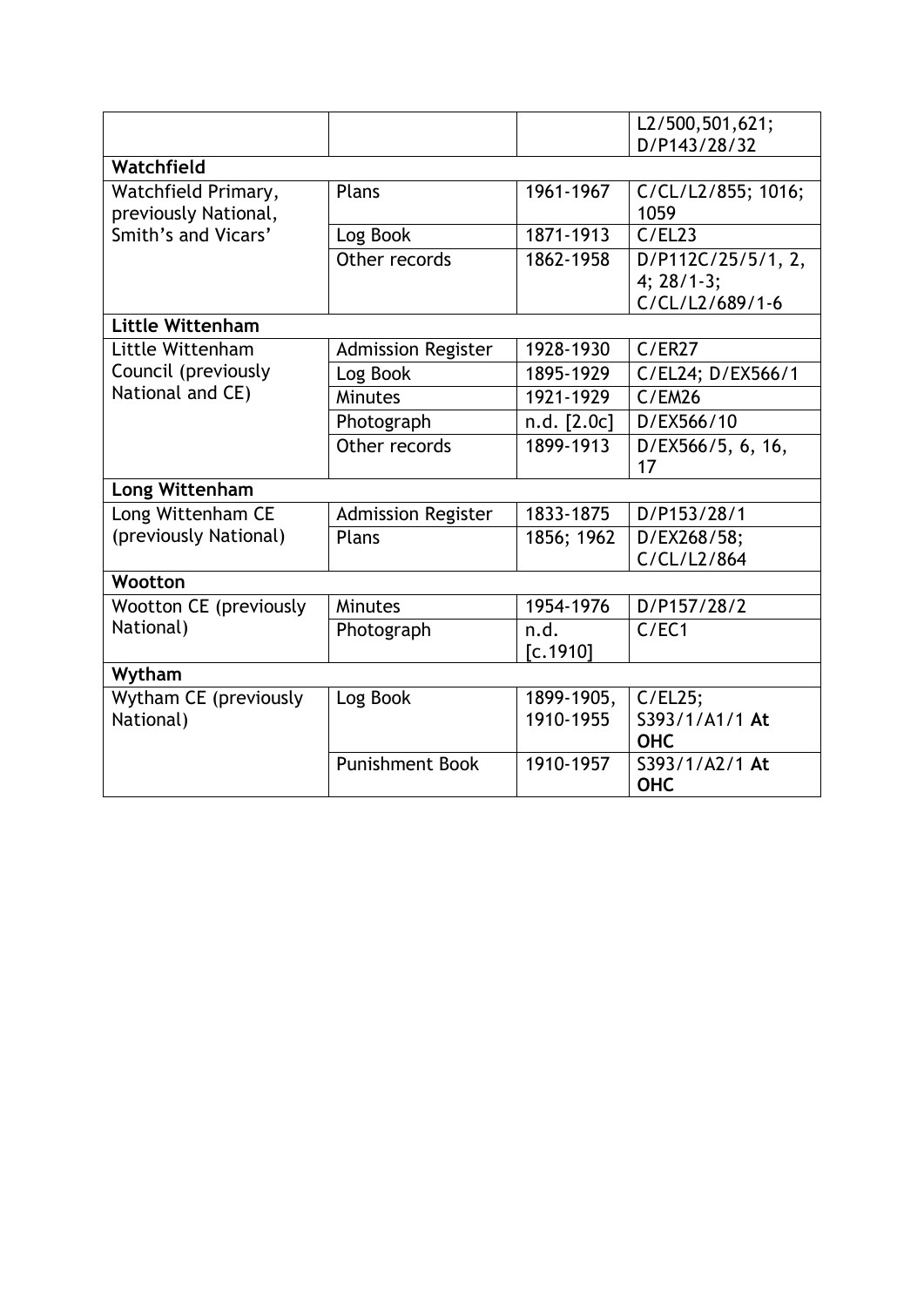|                               |                           |             | L2/500,501,621;    |  |
|-------------------------------|---------------------------|-------------|--------------------|--|
| Watchfield                    |                           |             | D/P143/28/32       |  |
| Watchfield Primary,           | Plans                     | 1961-1967   | C/CL/L2/855; 1016; |  |
| previously National,          |                           |             | 1059               |  |
| Smith's and Vicars'           | Log Book                  | 1871-1913   | C/EL23             |  |
|                               | Other records             | 1862-1958   | D/P112C/25/5/1, 2, |  |
|                               |                           |             | $4; 28/1-3;$       |  |
|                               |                           |             | C/CL/L2/689/1-6    |  |
| <b>Little Wittenham</b>       |                           |             |                    |  |
| Little Wittenham              | <b>Admission Register</b> | 1928-1930   | C/ER27             |  |
| Council (previously           | Log Book                  | 1895-1929   | C/EL24; D/EX566/1  |  |
| National and CE)              | <b>Minutes</b>            | 1921-1929   | C/EM26             |  |
|                               | Photograph                | n.d. [2.0c] | D/EX566/10         |  |
|                               | Other records             | 1899-1913   | D/EX566/5, 6, 16,  |  |
|                               |                           |             | 17                 |  |
| Long Wittenham                |                           |             |                    |  |
| Long Wittenham CE             | <b>Admission Register</b> | 1833-1875   | D/P153/28/1        |  |
| (previously National)         | Plans                     | 1856; 1962  | D/EX268/58;        |  |
|                               |                           |             | C/CL/L2/864        |  |
| Wootton                       |                           |             |                    |  |
| <b>Wootton CE (previously</b> | <b>Minutes</b>            | 1954-1976   | D/P157/28/2        |  |
| National)                     | Photograph                | n.d.        | C/EC1              |  |
|                               |                           | [c.1910]    |                    |  |
| Wytham                        |                           |             |                    |  |
| Wytham CE (previously         | Log Book                  | 1899-1905,  | C/EL25;            |  |
| National)                     |                           | 1910-1955   | S393/1/A1/1 At     |  |
|                               |                           |             | <b>OHC</b>         |  |
|                               | <b>Punishment Book</b>    | 1910-1957   | S393/1/A2/1 At     |  |
|                               |                           |             | <b>OHC</b>         |  |